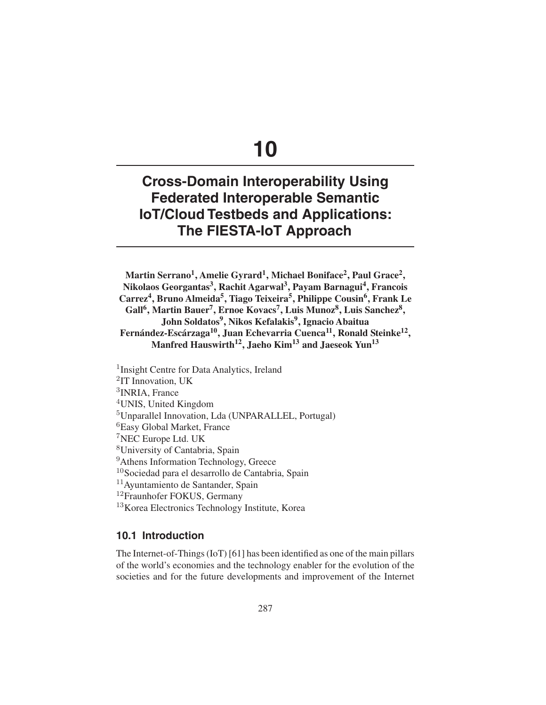# **10**

## **Cross-Domain Interoperability Using Federated Interoperable Semantic IoT/Cloud Testbeds and Applications: The FIESTA-IoT Approach**

**Martin Serrano1, Amelie Gyrard1, Michael Boniface2, Paul Grace2, Nikolaos Georgantas3, Rachit Agarwal3, Payam Barnagui4, Francois** Carrez<sup>4</sup>, Bruno Almeida<sup>5</sup>, Tiago Teixeira<sup>5</sup>, Philippe Cousin<sup>6</sup>, Frank Le Gall<sup>6</sup>, Martin Bauer<sup>7</sup>, Ernoe Kovacs<sup>7</sup>, Luis Munoz<sup>8</sup>, Luis Sanchez<sup>8</sup>, **John Soldatos9, Nikos Kefalakis9, Ignacio Abaitua Fernández-Escárzaga10, Juan Echevarria Cuenca11, Ronald Steinke12,** Manfred Hauswirth<sup>12</sup>, Jaeho Kim<sup>13</sup> and Jaeseok Yun<sup>13</sup>

<sup>1</sup>Insight Centre for Data Analytics, Ireland <sup>2</sup>IT Innovation, UK INRIA, France UNIS, United Kingdom Unparallel Innovation, Lda (UNPARALLEL, Portugal) Easy Global Market, France NEC Europe Ltd. UK University of Cantabria, Spain <sup>9</sup>Athens Information Technology, Greece Sociedad para el desarrollo de Cantabria, Spain Ayuntamiento de Santander, Spain <sup>12</sup>Fraunhofer FOKUS, Germany Korea Electronics Technology Institute, Korea

## **10.1 Introduction**

The Internet-of-Things (IoT) [61] has been identified as one of the main pillars of the world's economies and the technology enabler for the evolution of the societies and for the future developments and improvement of the Internet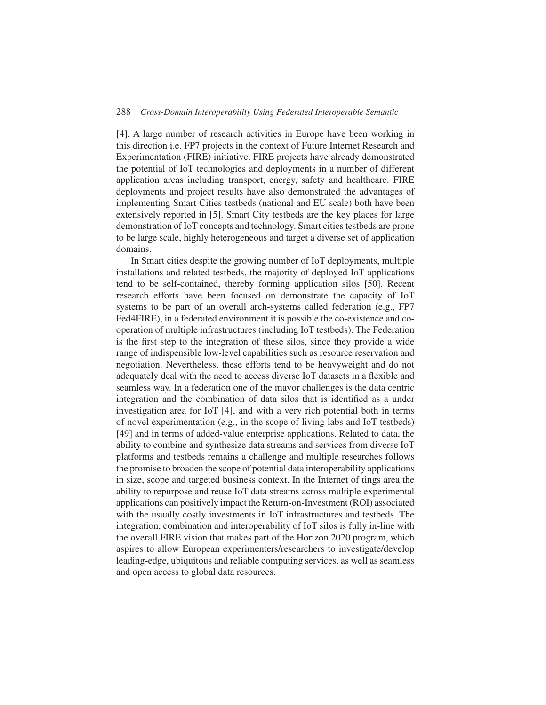[4]. A large number of research activities in Europe have been working in this direction i.e. FP7 projects in the context of Future Internet Research and Experimentation (FIRE) initiative. FIRE projects have already demonstrated the potential of IoT technologies and deployments in a number of different application areas including transport, energy, safety and healthcare. FIRE deployments and project results have also demonstrated the advantages of implementing Smart Cities testbeds (national and EU scale) both have been extensively reported in [5]. Smart City testbeds are the key places for large demonstration of IoT concepts and technology. Smart cities testbeds are prone to be large scale, highly heterogeneous and target a diverse set of application domains.

In Smart cities despite the growing number of IoT deployments, multiple installations and related testbeds, the majority of deployed IoT applications tend to be self-contained, thereby forming application silos [50]. Recent research efforts have been focused on demonstrate the capacity of IoT systems to be part of an overall arch-systems called federation (e.g., FP7 Fed4FIRE), in a federated environment it is possible the co-existence and cooperation of multiple infrastructures (including IoT testbeds). The Federation is the first step to the integration of these silos, since they provide a wide range of indispensible low-level capabilities such as resource reservation and negotiation. Nevertheless, these efforts tend to be heavyweight and do not adequately deal with the need to access diverse IoT datasets in a flexible and seamless way. In a federation one of the mayor challenges is the data centric integration and the combination of data silos that is identified as a under investigation area for IoT [4], and with a very rich potential both in terms of novel experimentation (e.g., in the scope of living labs and IoT testbeds) [49] and in terms of added-value enterprise applications. Related to data, the ability to combine and synthesize data streams and services from diverse IoT platforms and testbeds remains a challenge and multiple researches follows the promise to broaden the scope of potential data interoperability applications in size, scope and targeted business context. In the Internet of tings area the ability to repurpose and reuse IoT data streams across multiple experimental applications can positively impact the Return-on-Investment (ROI) associated with the usually costly investments in IoT infrastructures and testbeds. The integration, combination and interoperability of IoT silos is fully in-line with the overall FIRE vision that makes part of the Horizon 2020 program, which aspires to allow European experimenters/researchers to investigate/develop leading-edge, ubiquitous and reliable computing services, as well as seamless and open access to global data resources.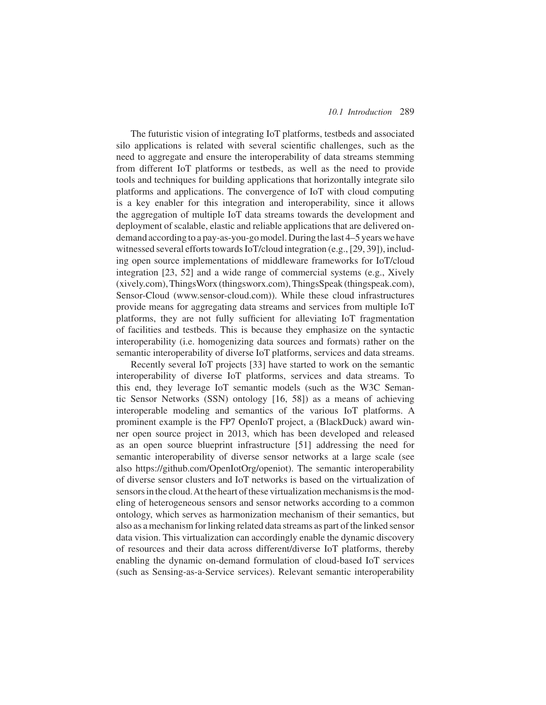#### *10.1 Introduction* 289

The futuristic vision of integrating IoT platforms, testbeds and associated silo applications is related with several scientific challenges, such as the need to aggregate and ensure the interoperability of data streams stemming from different IoT platforms or testbeds, as well as the need to provide tools and techniques for building applications that horizontally integrate silo platforms and applications. The convergence of IoT with cloud computing is a key enabler for this integration and interoperability, since it allows the aggregation of multiple IoT data streams towards the development and deployment of scalable, elastic and reliable applications that are delivered ondemand according to a pay-as-you-go model. During the last 4–5 years we have witnessed several efforts towards IoT/cloud integration (e.g., [29, 39]), including open source implementations of middleware frameworks for IoT/cloud integration [23, 52] and a wide range of commercial systems (e.g., Xively (xively.com), ThingsWorx (thingsworx.com), ThingsSpeak (thingspeak.com), Sensor-Cloud (www.sensor-cloud.com)). While these cloud infrastructures provide means for aggregating data streams and services from multiple IoT platforms, they are not fully sufficient for alleviating IoT fragmentation of facilities and testbeds. This is because they emphasize on the syntactic interoperability (i.e. homogenizing data sources and formats) rather on the semantic interoperability of diverse IoT platforms, services and data streams.

Recently several IoT projects [33] have started to work on the semantic interoperability of diverse IoT platforms, services and data streams. To this end, they leverage IoT semantic models (such as the W3C Semantic Sensor Networks (SSN) ontology [16, 58]) as a means of achieving interoperable modeling and semantics of the various IoT platforms. A prominent example is the FP7 OpenIoT project, a (BlackDuck) award winner open source project in 2013, which has been developed and released as an open source blueprint infrastructure [51] addressing the need for semantic interoperability of diverse sensor networks at a large scale (see also https://github.com/OpenIotOrg/openiot). The semantic interoperability of diverse sensor clusters and IoT networks is based on the virtualization of sensors in the cloud.At the heart of these virtualization mechanisms is the modeling of heterogeneous sensors and sensor networks according to a common ontology, which serves as harmonization mechanism of their semantics, but also as a mechanism for linking related data streams as part of the linked sensor data vision. This virtualization can accordingly enable the dynamic discovery of resources and their data across different/diverse IoT platforms, thereby enabling the dynamic on-demand formulation of cloud-based IoT services (such as Sensing-as-a-Service services). Relevant semantic interoperability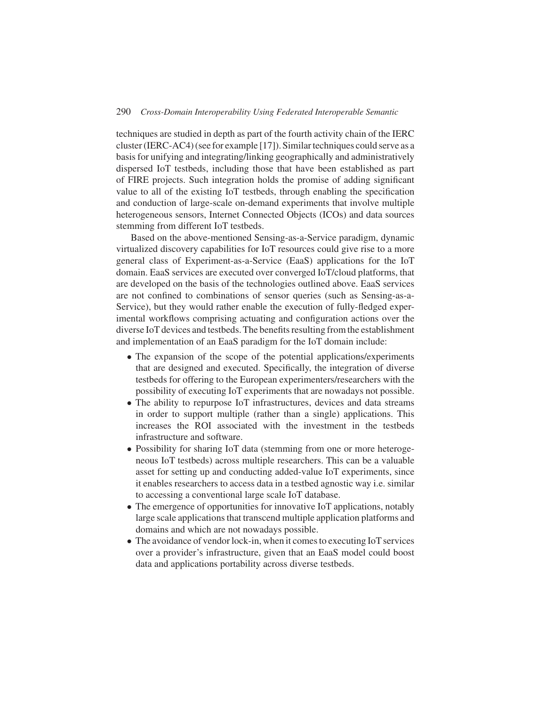techniques are studied in depth as part of the fourth activity chain of the IERC cluster (IERC-AC4) (see for example [17]). Similar techniques could serve as a basis for unifying and integrating/linking geographically and administratively dispersed IoT testbeds, including those that have been established as part of FIRE projects. Such integration holds the promise of adding significant value to all of the existing IoT testbeds, through enabling the specification and conduction of large-scale on-demand experiments that involve multiple heterogeneous sensors, Internet Connected Objects (ICOs) and data sources stemming from different IoT testbeds.

Based on the above-mentioned Sensing-as-a-Service paradigm, dynamic virtualized discovery capabilities for IoT resources could give rise to a more general class of Experiment-as-a-Service (EaaS) applications for the IoT domain. EaaS services are executed over converged IoT/cloud platforms, that are developed on the basis of the technologies outlined above. EaaS services are not confined to combinations of sensor queries (such as Sensing-as-a-Service), but they would rather enable the execution of fully-fledged experimental workflows comprising actuating and configuration actions over the diverse IoT devices and testbeds. The benefits resulting from the establishment and implementation of an EaaS paradigm for the IoT domain include:

- The expansion of the scope of the potential applications/experiments that are designed and executed. Specifically, the integration of diverse testbeds for offering to the European experimenters/researchers with the possibility of executing IoT experiments that are nowadays not possible.
- The ability to repurpose IoT infrastructures, devices and data streams in order to support multiple (rather than a single) applications. This increases the ROI associated with the investment in the testbeds infrastructure and software.
- Possibility for sharing IoT data (stemming from one or more heterogeneous IoT testbeds) across multiple researchers. This can be a valuable asset for setting up and conducting added-value IoT experiments, since it enables researchers to access data in a testbed agnostic way i.e. similar to accessing a conventional large scale IoT database.
- The emergence of opportunities for innovative IoT applications, notably large scale applications that transcend multiple application platforms and domains and which are not nowadays possible.
- The avoidance of vendor lock-in, when it comes to executing IoT services over a provider's infrastructure, given that an EaaS model could boost data and applications portability across diverse testbeds.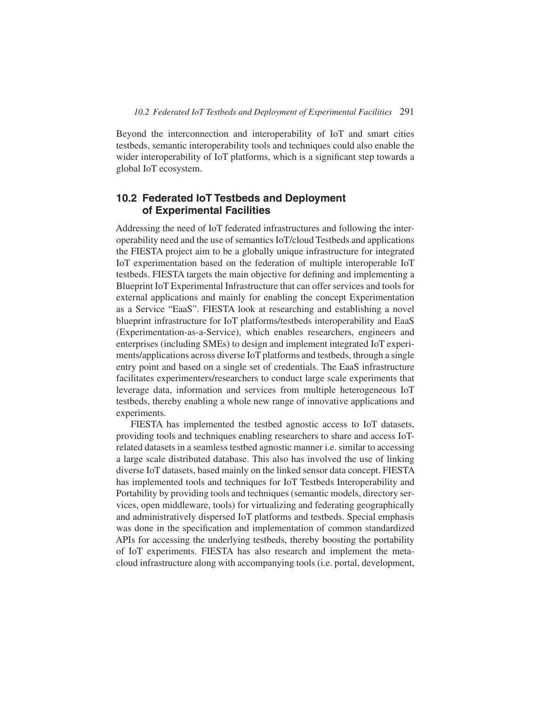Beyond the interconnection and interoperability of IoT and smart cities testbeds, semantic interoperability tools and techniques could also enable the wider interoperability of IoT platforms, which is a significant step towards a global IoT ecosystem.

## **10.2 Federated IoT Testbeds and Deployment of Experimental Facilities**

Addressing the need of IoT federated infrastructures and following the interoperability need and the use of semantics IoT/cloud Testbeds and applications the FIESTA project aim to be a globally unique infrastructure for integrated IoT experimentation based on the federation of multiple interoperable IoT testbeds. FIESTA targets the main objective for defining and implementing a Blueprint IoT Experimental Infrastructure that can offer services and tools for external applications and mainly for enabling the concept Experimentation as a Service "EaaS". FIESTA look at researching and establishing a novel blueprint infrastructure for IoT platforms/testbeds interoperability and EaaS (Experimentation-as-a-Service), which enables researchers, engineers and enterprises (including SMEs) to design and implement integrated IoT experiments/applications across diverse IoT platforms and testbeds, through a single entry point and based on a single set of credentials. The EaaS infrastructure facilitates experimenters/researchers to conduct large scale experiments that leverage data, information and services from multiple heterogeneous IoT testbeds, thereby enabling a whole new range of innovative applications and experiments.

FIESTA has implemented the testbed agnostic access to IoT datasets, providing tools and techniques enabling researchers to share and access IoTrelated datasets in a seamless testbed agnostic manner i.e. similar to accessing a large scale distributed database. This also has involved the use of linking diverse IoT datasets, based mainly on the linked sensor data concept. FIESTA has implemented tools and techniques for IoT Testbeds Interoperability and Portability by providing tools and techniques (semantic models, directory services, open middleware, tools) for virtualizing and federating geographically and administratively dispersed IoT platforms and testbeds. Special emphasis was done in the specification and implementation of common standardized APIs for accessing the underlying testbeds, thereby boosting the portability of IoT experiments. FIESTA has also research and implement the metacloud infrastructure along with accompanying tools (i.e. portal, development,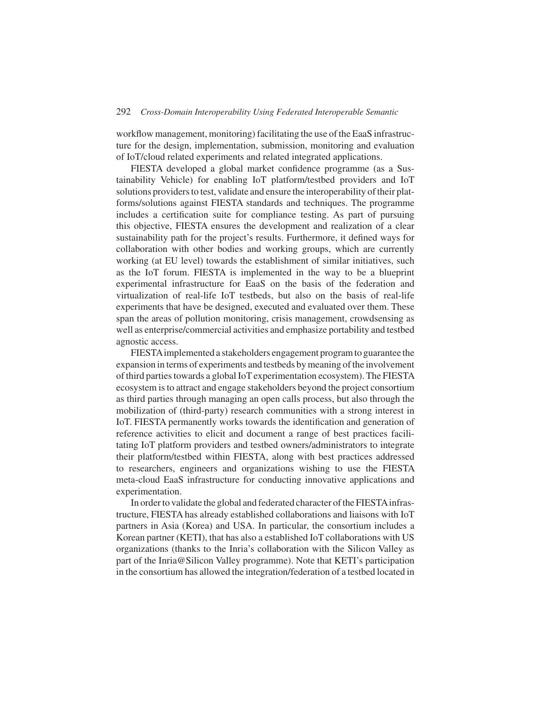workflow management, monitoring) facilitating the use of the EaaS infrastructure for the design, implementation, submission, monitoring and evaluation of IoT/cloud related experiments and related integrated applications.

FIESTA developed a global market confidence programme (as a Sustainability Vehicle) for enabling IoT platform/testbed providers and IoT solutions providers to test, validate and ensure the interoperability of their platforms/solutions against FIESTA standards and techniques. The programme includes a certification suite for compliance testing. As part of pursuing this objective, FIESTA ensures the development and realization of a clear sustainability path for the project's results. Furthermore, it defined ways for collaboration with other bodies and working groups, which are currently working (at EU level) towards the establishment of similar initiatives, such as the IoT forum. FIESTA is implemented in the way to be a blueprint experimental infrastructure for EaaS on the basis of the federation and virtualization of real-life IoT testbeds, but also on the basis of real-life experiments that have be designed, executed and evaluated over them. These span the areas of pollution monitoring, crisis management, crowdsensing as well as enterprise/commercial activities and emphasize portability and testbed agnostic access.

FIESTAimplemented a stakeholders engagement program to guarantee the expansion in terms of experiments and testbeds by meaning of the involvement of third parties towards a global IoT experimentation ecosystem). The FIESTA ecosystem is to attract and engage stakeholders beyond the project consortium as third parties through managing an open calls process, but also through the mobilization of (third-party) research communities with a strong interest in IoT. FIESTA permanently works towards the identification and generation of reference activities to elicit and document a range of best practices facilitating IoT platform providers and testbed owners/administrators to integrate their platform/testbed within FIESTA, along with best practices addressed to researchers, engineers and organizations wishing to use the FIESTA meta-cloud EaaS infrastructure for conducting innovative applications and experimentation.

In order to validate the global and federated character of the FIESTAinfrastructure, FIESTA has already established collaborations and liaisons with IoT partners in Asia (Korea) and USA. In particular, the consortium includes a Korean partner (KETI), that has also a established IoT collaborations with US organizations (thanks to the Inria's collaboration with the Silicon Valley as part of the Inria@Silicon Valley programme). Note that KETI's participation in the consortium has allowed the integration/federation of a testbed located in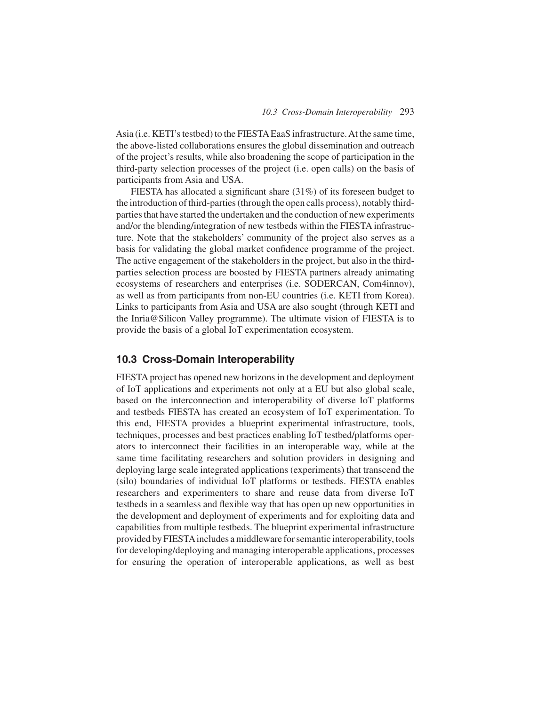Asia (i.e. KETI's testbed) to the FIESTAEaaS infrastructure.At the same time, the above-listed collaborations ensures the global dissemination and outreach of the project's results, while also broadening the scope of participation in the third-party selection processes of the project (i.e. open calls) on the basis of participants from Asia and USA.

FIESTA has allocated a significant share (31%) of its foreseen budget to the introduction of third-parties (through the open calls process), notably thirdparties that have started the undertaken and the conduction of new experiments and/or the blending/integration of new testbeds within the FIESTA infrastructure. Note that the stakeholders' community of the project also serves as a basis for validating the global market confidence programme of the project. The active engagement of the stakeholders in the project, but also in the thirdparties selection process are boosted by FIESTA partners already animating ecosystems of researchers and enterprises (i.e. SODERCAN, Com4innov), as well as from participants from non-EU countries (i.e. KETI from Korea). Links to participants from Asia and USA are also sought (through KETI and the Inria@Silicon Valley programme). The ultimate vision of FIESTA is to provide the basis of a global IoT experimentation ecosystem.

## **10.3 Cross-Domain Interoperability**

FIESTA project has opened new horizons in the development and deployment of IoT applications and experiments not only at a EU but also global scale, based on the interconnection and interoperability of diverse IoT platforms and testbeds FIESTA has created an ecosystem of IoT experimentation. To this end, FIESTA provides a blueprint experimental infrastructure, tools, techniques, processes and best practices enabling IoT testbed/platforms operators to interconnect their facilities in an interoperable way, while at the same time facilitating researchers and solution providers in designing and deploying large scale integrated applications (experiments) that transcend the (silo) boundaries of individual IoT platforms or testbeds. FIESTA enables researchers and experimenters to share and reuse data from diverse IoT testbeds in a seamless and flexible way that has open up new opportunities in the development and deployment of experiments and for exploiting data and capabilities from multiple testbeds. The blueprint experimental infrastructure provided by FIESTAincludes a middleware for semantic interoperability, tools for developing/deploying and managing interoperable applications, processes for ensuring the operation of interoperable applications, as well as best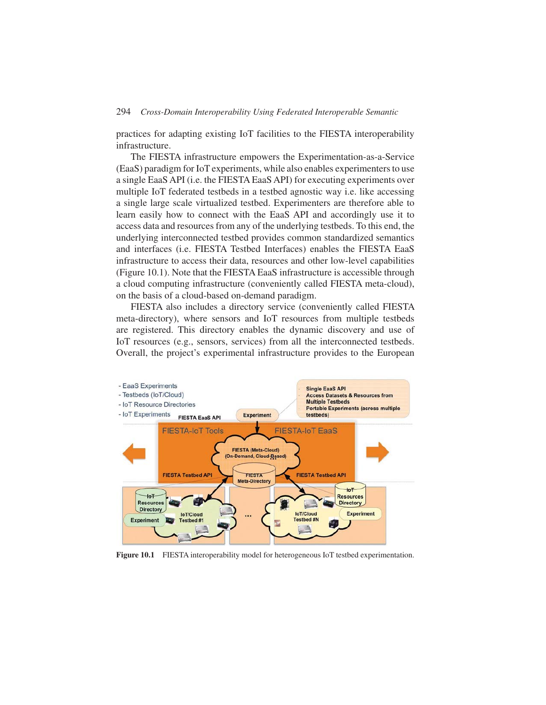practices for adapting existing IoT facilities to the FIESTA interoperability infrastructure.

The FIESTA infrastructure empowers the Experimentation-as-a-Service (EaaS) paradigm for IoT experiments, while also enables experimenters to use a single EaaS API (i.e. the FIESTA EaaS API) for executing experiments over multiple IoT federated testbeds in a testbed agnostic way i.e. like accessing a single large scale virtualized testbed. Experimenters are therefore able to learn easily how to connect with the EaaS API and accordingly use it to access data and resources from any of the underlying testbeds. To this end, the underlying interconnected testbed provides common standardized semantics and interfaces (i.e. FIESTA Testbed Interfaces) enables the FIESTA EaaS infrastructure to access their data, resources and other low-level capabilities (Figure 10.1). Note that the FIESTA EaaS infrastructure is accessible through a cloud computing infrastructure (conveniently called FIESTA meta-cloud), on the basis of a cloud-based on-demand paradigm.

FIESTA also includes a directory service (conveniently called FIESTA meta-directory), where sensors and IoT resources from multiple testbeds are registered. This directory enables the dynamic discovery and use of IoT resources (e.g., sensors, services) from all the interconnected testbeds. Overall, the project's experimental infrastructure provides to the European



**Figure 10.1** FIESTA interoperability model for heterogeneous IoT testbed experimentation.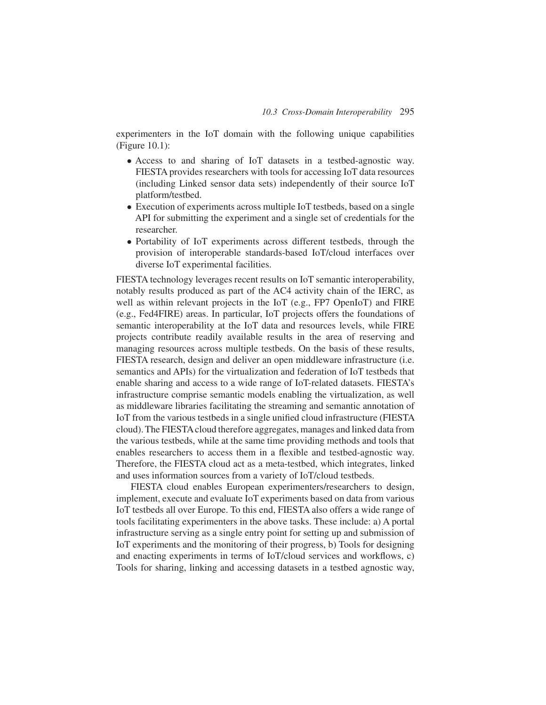experimenters in the IoT domain with the following unique capabilities (Figure 10.1):

- Access to and sharing of IoT datasets in a testbed-agnostic way. FIESTA provides researchers with tools for accessing IoT data resources (including Linked sensor data sets) independently of their source IoT platform/testbed.
- Execution of experiments across multiple IoT testbeds, based on a single API for submitting the experiment and a single set of credentials for the researcher.
- Portability of IoT experiments across different testbeds, through the provision of interoperable standards-based IoT/cloud interfaces over diverse IoT experimental facilities.

FIESTA technology leverages recent results on IoT semantic interoperability, notably results produced as part of the AC4 activity chain of the IERC, as well as within relevant projects in the IoT (e.g., FP7 OpenIoT) and FIRE (e.g., Fed4FIRE) areas. In particular, IoT projects offers the foundations of semantic interoperability at the IoT data and resources levels, while FIRE projects contribute readily available results in the area of reserving and managing resources across multiple testbeds. On the basis of these results, FIESTA research, design and deliver an open middleware infrastructure (i.e. semantics and APIs) for the virtualization and federation of IoT testbeds that enable sharing and access to a wide range of IoT-related datasets. FIESTA's infrastructure comprise semantic models enabling the virtualization, as well as middleware libraries facilitating the streaming and semantic annotation of IoT from the various testbeds in a single unified cloud infrastructure (FIESTA cloud). The FIESTAcloud therefore aggregates, manages and linked data from the various testbeds, while at the same time providing methods and tools that enables researchers to access them in a flexible and testbed-agnostic way. Therefore, the FIESTA cloud act as a meta-testbed, which integrates, linked and uses information sources from a variety of IoT/cloud testbeds.

FIESTA cloud enables European experimenters/researchers to design, implement, execute and evaluate IoT experiments based on data from various IoT testbeds all over Europe. To this end, FIESTA also offers a wide range of tools facilitating experimenters in the above tasks. These include: a) A portal infrastructure serving as a single entry point for setting up and submission of IoT experiments and the monitoring of their progress, b) Tools for designing and enacting experiments in terms of IoT/cloud services and workflows, c) Tools for sharing, linking and accessing datasets in a testbed agnostic way,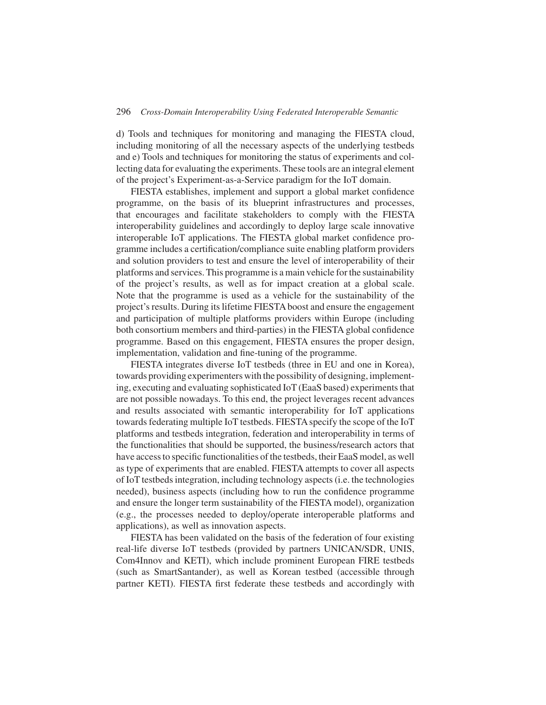d) Tools and techniques for monitoring and managing the FIESTA cloud, including monitoring of all the necessary aspects of the underlying testbeds and e) Tools and techniques for monitoring the status of experiments and collecting data for evaluating the experiments. These tools are an integral element of the project's Experiment-as-a-Service paradigm for the IoT domain.

FIESTA establishes, implement and support a global market confidence programme, on the basis of its blueprint infrastructures and processes, that encourages and facilitate stakeholders to comply with the FIESTA interoperability guidelines and accordingly to deploy large scale innovative interoperable IoT applications. The FIESTA global market confidence programme includes a certification/compliance suite enabling platform providers and solution providers to test and ensure the level of interoperability of their platforms and services. This programme is a main vehicle for the sustainability of the project's results, as well as for impact creation at a global scale. Note that the programme is used as a vehicle for the sustainability of the project's results. During its lifetime FIESTA boost and ensure the engagement and participation of multiple platforms providers within Europe (including both consortium members and third-parties) in the FIESTA global confidence programme. Based on this engagement, FIESTA ensures the proper design, implementation, validation and fine-tuning of the programme.

FIESTA integrates diverse IoT testbeds (three in EU and one in Korea), towards providing experimenters with the possibility of designing, implementing, executing and evaluating sophisticated IoT (EaaS based) experiments that are not possible nowadays. To this end, the project leverages recent advances and results associated with semantic interoperability for IoT applications towards federating multiple IoT testbeds. FIESTA specify the scope of the IoT platforms and testbeds integration, federation and interoperability in terms of the functionalities that should be supported, the business/research actors that have access to specific functionalities of the testbeds, their EaaS model, as well as type of experiments that are enabled. FIESTA attempts to cover all aspects of IoT testbeds integration, including technology aspects (i.e. the technologies needed), business aspects (including how to run the confidence programme and ensure the longer term sustainability of the FIESTA model), organization (e.g., the processes needed to deploy/operate interoperable platforms and applications), as well as innovation aspects.

FIESTA has been validated on the basis of the federation of four existing real-life diverse IoT testbeds (provided by partners UNICAN/SDR, UNIS, Com4Innov and KETI), which include prominent European FIRE testbeds (such as SmartSantander), as well as Korean testbed (accessible through partner KETI). FIESTA first federate these testbeds and accordingly with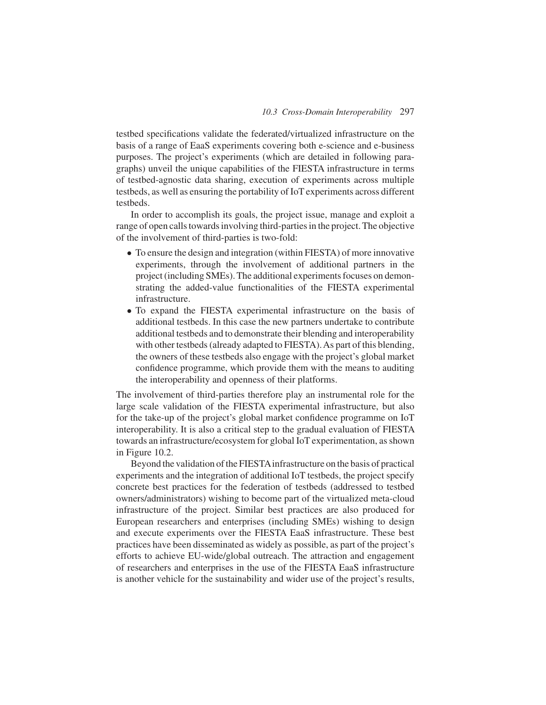testbed specifications validate the federated/virtualized infrastructure on the basis of a range of EaaS experiments covering both e-science and e-business purposes. The project's experiments (which are detailed in following paragraphs) unveil the unique capabilities of the FIESTA infrastructure in terms of testbed-agnostic data sharing, execution of experiments across multiple testbeds, as well as ensuring the portability of IoT experiments across different testbeds.

In order to accomplish its goals, the project issue, manage and exploit a range of open calls towards involving third-parties in the project. The objective of the involvement of third-parties is two-fold:

- To ensure the design and integration (within FIESTA) of more innovative experiments, through the involvement of additional partners in the project (including SMEs). The additional experiments focuses on demonstrating the added-value functionalities of the FIESTA experimental infrastructure.
- To expand the FIESTA experimental infrastructure on the basis of additional testbeds. In this case the new partners undertake to contribute additional testbeds and to demonstrate their blending and interoperability with other testbeds (already adapted to FIESTA). As part of this blending, the owners of these testbeds also engage with the project's global market confidence programme, which provide them with the means to auditing the interoperability and openness of their platforms.

The involvement of third-parties therefore play an instrumental role for the large scale validation of the FIESTA experimental infrastructure, but also for the take-up of the project's global market confidence programme on IoT interoperability. It is also a critical step to the gradual evaluation of FIESTA towards an infrastructure/ecosystem for global IoT experimentation, as shown in Figure 10.2.

Beyond the validation of the FIESTAinfrastructure on the basis of practical experiments and the integration of additional IoT testbeds, the project specify concrete best practices for the federation of testbeds (addressed to testbed owners/administrators) wishing to become part of the virtualized meta-cloud infrastructure of the project. Similar best practices are also produced for European researchers and enterprises (including SMEs) wishing to design and execute experiments over the FIESTA EaaS infrastructure. These best practices have been disseminated as widely as possible, as part of the project's efforts to achieve EU-wide/global outreach. The attraction and engagement of researchers and enterprises in the use of the FIESTA EaaS infrastructure is another vehicle for the sustainability and wider use of the project's results,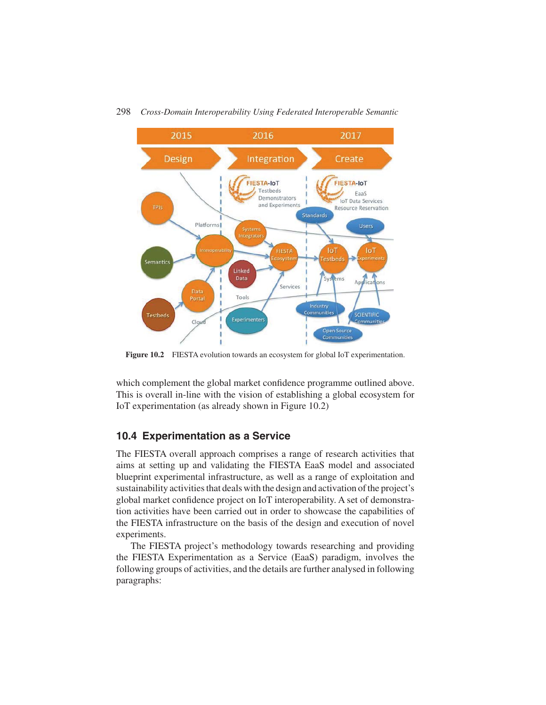

298 *Cross-Domain Interoperability Using Federated Interoperable Semantic*

**Figure 10.2** FIESTA evolution towards an ecosystem for global IoT experimentation.

which complement the global market confidence programme outlined above. This is overall in-line with the vision of establishing a global ecosystem for IoT experimentation (as already shown in Figure 10.2)

## **10.4 Experimentation as a Service**

The FIESTA overall approach comprises a range of research activities that aims at setting up and validating the FIESTA EaaS model and associated blueprint experimental infrastructure, as well as a range of exploitation and sustainability activities that deals with the design and activation of the project's global market confidence project on IoT interoperability. A set of demonstration activities have been carried out in order to showcase the capabilities of the FIESTA infrastructure on the basis of the design and execution of novel experiments.

The FIESTA project's methodology towards researching and providing the FIESTA Experimentation as a Service (EaaS) paradigm, involves the following groups of activities, and the details are further analysed in following paragraphs: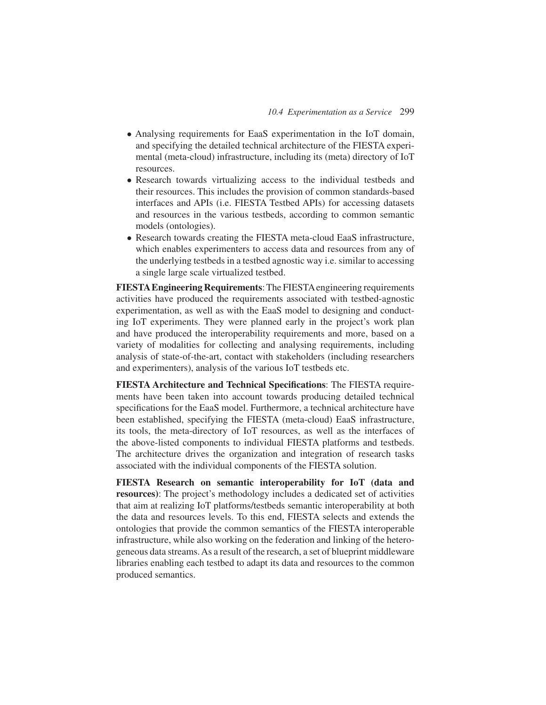- Analysing requirements for EaaS experimentation in the IoT domain, and specifying the detailed technical architecture of the FIESTA experimental (meta-cloud) infrastructure, including its (meta) directory of IoT resources.
- Research towards virtualizing access to the individual testbeds and their resources. This includes the provision of common standards-based interfaces and APIs (i.e. FIESTA Testbed APIs) for accessing datasets and resources in the various testbeds, according to common semantic models (ontologies).
- Research towards creating the FIESTA meta-cloud EaaS infrastructure, which enables experimenters to access data and resources from any of the underlying testbeds in a testbed agnostic way i.e. similar to accessing a single large scale virtualized testbed.

**FIESTAEngineering Requirements**: The FIESTAengineering requirements activities have produced the requirements associated with testbed-agnostic experimentation, as well as with the EaaS model to designing and conducting IoT experiments. They were planned early in the project's work plan and have produced the interoperability requirements and more, based on a variety of modalities for collecting and analysing requirements, including analysis of state-of-the-art, contact with stakeholders (including researchers and experimenters), analysis of the various IoT testbeds etc.

**FIESTA Architecture and Technical Specifications**: The FIESTA requirements have been taken into account towards producing detailed technical specifications for the EaaS model. Furthermore, a technical architecture have been established, specifying the FIESTA (meta-cloud) EaaS infrastructure, its tools, the meta-directory of IoT resources, as well as the interfaces of the above-listed components to individual FIESTA platforms and testbeds. The architecture drives the organization and integration of research tasks associated with the individual components of the FIESTA solution.

**FIESTA Research on semantic interoperability for IoT (data and resources)**: The project's methodology includes a dedicated set of activities that aim at realizing IoT platforms/testbeds semantic interoperability at both the data and resources levels. To this end, FIESTA selects and extends the ontologies that provide the common semantics of the FIESTA interoperable infrastructure, while also working on the federation and linking of the heterogeneous data streams. As a result of the research, a set of blueprint middleware libraries enabling each testbed to adapt its data and resources to the common produced semantics.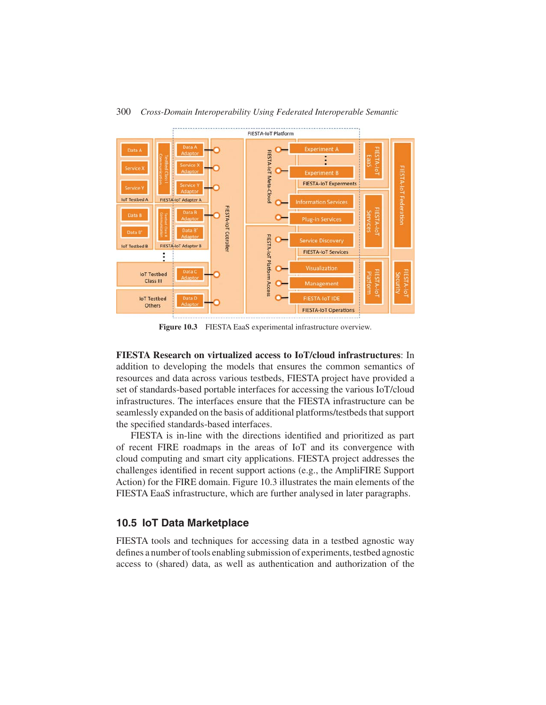

300 *Cross-Domain Interoperability Using Federated Interoperable Semantic*

**Figure 10.3** FIESTA EaaS experimental infrastructure overview.

**FIESTA Research on virtualized access to IoT/cloud infrastructures**: In addition to developing the models that ensures the common semantics of resources and data across various testbeds, FIESTA project have provided a set of standards-based portable interfaces for accessing the various IoT/cloud infrastructures. The interfaces ensure that the FIESTA infrastructure can be seamlessly expanded on the basis of additional platforms/testbeds that support the specified standards-based interfaces.

FIESTA is in-line with the directions identified and prioritized as part of recent FIRE roadmaps in the areas of IoT and its convergence with cloud computing and smart city applications. FIESTA project addresses the challenges identified in recent support actions (e.g., the AmpliFIRE Support Action) for the FIRE domain. Figure 10.3 illustrates the main elements of the FIESTA EaaS infrastructure, which are further analysed in later paragraphs.

## **10.5 IoT Data Marketplace**

FIESTA tools and techniques for accessing data in a testbed agnostic way defines a number of tools enabling submission of experiments, testbed agnostic access to (shared) data, as well as authentication and authorization of the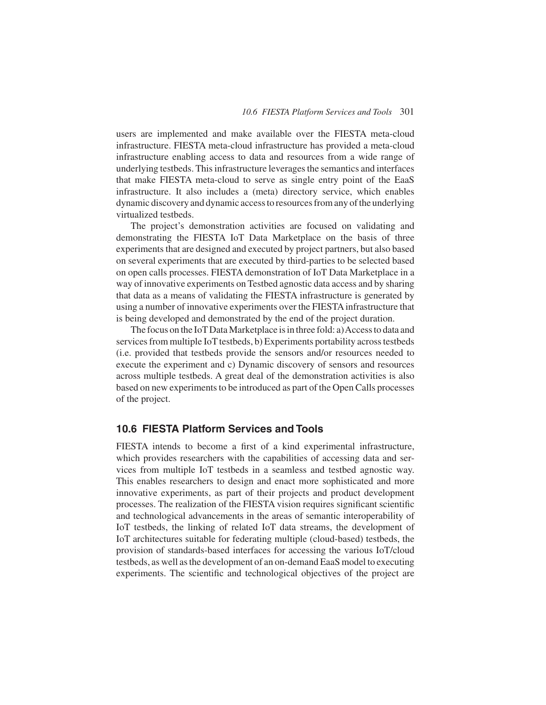users are implemented and make available over the FIESTA meta-cloud infrastructure. FIESTA meta-cloud infrastructure has provided a meta-cloud infrastructure enabling access to data and resources from a wide range of underlying testbeds. This infrastructure leverages the semantics and interfaces that make FIESTA meta-cloud to serve as single entry point of the EaaS infrastructure. It also includes a (meta) directory service, which enables dynamic discovery and dynamic access to resources from any of the underlying virtualized testbeds.

The project's demonstration activities are focused on validating and demonstrating the FIESTA IoT Data Marketplace on the basis of three experiments that are designed and executed by project partners, but also based on several experiments that are executed by third-parties to be selected based on open calls processes. FIESTA demonstration of IoT Data Marketplace in a way of innovative experiments on Testbed agnostic data access and by sharing that data as a means of validating the FIESTA infrastructure is generated by using a number of innovative experiments over the FIESTA infrastructure that is being developed and demonstrated by the end of the project duration.

The focus on the IoT Data Marketplace is in three fold: a) Access to data and services from multiple IoT testbeds, b) Experiments portability across testbeds (i.e. provided that testbeds provide the sensors and/or resources needed to execute the experiment and c) Dynamic discovery of sensors and resources across multiple testbeds. A great deal of the demonstration activities is also based on new experiments to be introduced as part of the Open Calls processes of the project.

## **10.6 FIESTA Platform Services and Tools**

FIESTA intends to become a first of a kind experimental infrastructure, which provides researchers with the capabilities of accessing data and services from multiple IoT testbeds in a seamless and testbed agnostic way. This enables researchers to design and enact more sophisticated and more innovative experiments, as part of their projects and product development processes. The realization of the FIESTA vision requires significant scientific and technological advancements in the areas of semantic interoperability of IoT testbeds, the linking of related IoT data streams, the development of IoT architectures suitable for federating multiple (cloud-based) testbeds, the provision of standards-based interfaces for accessing the various IoT/cloud testbeds, as well as the development of an on-demand EaaS model to executing experiments. The scientific and technological objectives of the project are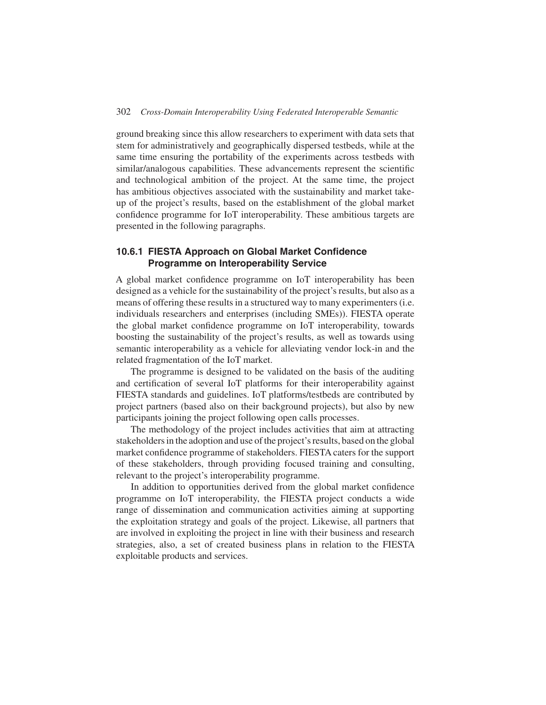ground breaking since this allow researchers to experiment with data sets that stem for administratively and geographically dispersed testbeds, while at the same time ensuring the portability of the experiments across testbeds with similar/analogous capabilities. These advancements represent the scientific and technological ambition of the project. At the same time, the project has ambitious objectives associated with the sustainability and market takeup of the project's results, based on the establishment of the global market confidence programme for IoT interoperability. These ambitious targets are presented in the following paragraphs.

## **10.6.1 FIESTA Approach on Global Market Confidence Programme on Interoperability Service**

A global market confidence programme on IoT interoperability has been designed as a vehicle for the sustainability of the project's results, but also as a means of offering these results in a structured way to many experimenters (i.e. individuals researchers and enterprises (including SMEs)). FIESTA operate the global market confidence programme on IoT interoperability, towards boosting the sustainability of the project's results, as well as towards using semantic interoperability as a vehicle for alleviating vendor lock-in and the related fragmentation of the IoT market.

The programme is designed to be validated on the basis of the auditing and certification of several IoT platforms for their interoperability against FIESTA standards and guidelines. IoT platforms/testbeds are contributed by project partners (based also on their background projects), but also by new participants joining the project following open calls processes.

The methodology of the project includes activities that aim at attracting stakeholders in the adoption and use of the project's results, based on the global market confidence programme of stakeholders. FIESTA caters for the support of these stakeholders, through providing focused training and consulting, relevant to the project's interoperability programme.

In addition to opportunities derived from the global market confidence programme on IoT interoperability, the FIESTA project conducts a wide range of dissemination and communication activities aiming at supporting the exploitation strategy and goals of the project. Likewise, all partners that are involved in exploiting the project in line with their business and research strategies, also, a set of created business plans in relation to the FIESTA exploitable products and services.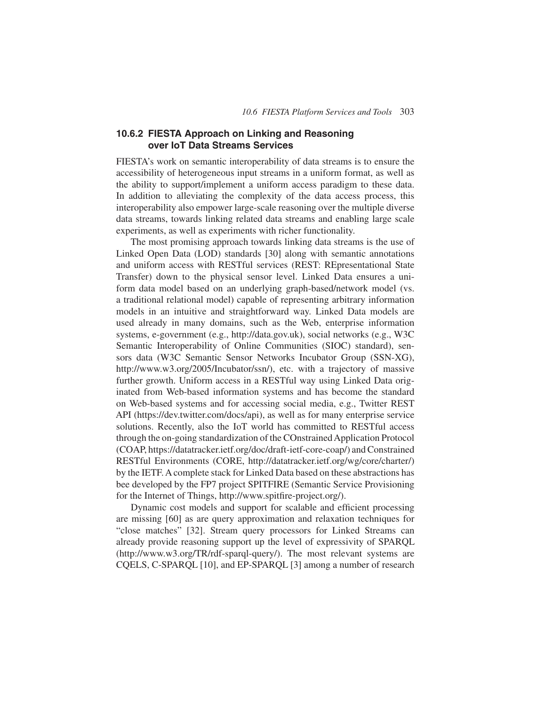## **10.6.2 FIESTA Approach on Linking and Reasoning over IoT Data Streams Services**

FIESTA's work on semantic interoperability of data streams is to ensure the accessibility of heterogeneous input streams in a uniform format, as well as the ability to support/implement a uniform access paradigm to these data. In addition to alleviating the complexity of the data access process, this interoperability also empower large-scale reasoning over the multiple diverse data streams, towards linking related data streams and enabling large scale experiments, as well as experiments with richer functionality.

The most promising approach towards linking data streams is the use of Linked Open Data (LOD) standards [30] along with semantic annotations and uniform access with RESTful services (REST: REpresentational State Transfer) down to the physical sensor level. Linked Data ensures a uniform data model based on an underlying graph-based/network model (vs. a traditional relational model) capable of representing arbitrary information models in an intuitive and straightforward way. Linked Data models are used already in many domains, such as the Web, enterprise information systems, e-government (e.g., http://data.gov.uk), social networks (e.g., W3C Semantic Interoperability of Online Communities (SIOC) standard), sensors data (W3C Semantic Sensor Networks Incubator Group (SSN-XG), http://www.w3.org/2005/Incubator/ssn/), etc. with a trajectory of massive further growth. Uniform access in a RESTful way using Linked Data originated from Web-based information systems and has become the standard on Web-based systems and for accessing social media, e.g., Twitter REST API (https://dev.twitter.com/docs/api), as well as for many enterprise service solutions. Recently, also the IoT world has committed to RESTful access through the on-going standardization of the COnstrained Application Protocol (COAP, https://datatracker.ietf.org/doc/draft-ietf-core-coap/) and Constrained RESTful Environments (CORE, http://datatracker.ietf.org/wg/core/charter/) by the IETF. A complete stack for Linked Data based on these abstractions has bee developed by the FP7 project SPITFIRE (Semantic Service Provisioning for the Internet of Things, http://www.spitfire-project.org/).

Dynamic cost models and support for scalable and efficient processing are missing [60] as are query approximation and relaxation techniques for "close matches" [32]. Stream query processors for Linked Streams can already provide reasoning support up the level of expressivity of SPARQL (http://www.w3.org/TR/rdf-sparql-query/). The most relevant systems are CQELS, C-SPARQL [10], and EP-SPARQL [3] among a number of research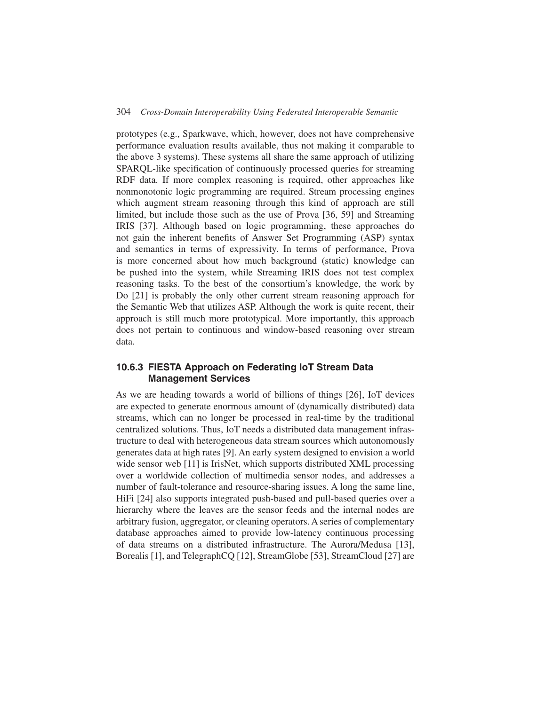prototypes (e.g., Sparkwave, which, however, does not have comprehensive performance evaluation results available, thus not making it comparable to the above 3 systems). These systems all share the same approach of utilizing SPARQL-like specification of continuously processed queries for streaming RDF data. If more complex reasoning is required, other approaches like nonmonotonic logic programming are required. Stream processing engines which augment stream reasoning through this kind of approach are still limited, but include those such as the use of Prova [36, 59] and Streaming IRIS [37]. Although based on logic programming, these approaches do not gain the inherent benefits of Answer Set Programming (ASP) syntax and semantics in terms of expressivity. In terms of performance, Prova is more concerned about how much background (static) knowledge can be pushed into the system, while Streaming IRIS does not test complex reasoning tasks. To the best of the consortium's knowledge, the work by Do [21] is probably the only other current stream reasoning approach for the Semantic Web that utilizes ASP. Although the work is quite recent, their approach is still much more prototypical. More importantly, this approach does not pertain to continuous and window-based reasoning over stream data.

## **10.6.3 FIESTA Approach on Federating IoT Stream Data Management Services**

As we are heading towards a world of billions of things [26], IoT devices are expected to generate enormous amount of (dynamically distributed) data streams, which can no longer be processed in real-time by the traditional centralized solutions. Thus, IoT needs a distributed data management infrastructure to deal with heterogeneous data stream sources which autonomously generates data at high rates [9]. An early system designed to envision a world wide sensor web [11] is IrisNet, which supports distributed XML processing over a worldwide collection of multimedia sensor nodes, and addresses a number of fault-tolerance and resource-sharing issues. A long the same line, HiFi [24] also supports integrated push-based and pull-based queries over a hierarchy where the leaves are the sensor feeds and the internal nodes are arbitrary fusion, aggregator, or cleaning operators. A series of complementary database approaches aimed to provide low-latency continuous processing of data streams on a distributed infrastructure. The Aurora/Medusa [13], Borealis [1], and TelegraphCQ [12], StreamGlobe [53], StreamCloud [27] are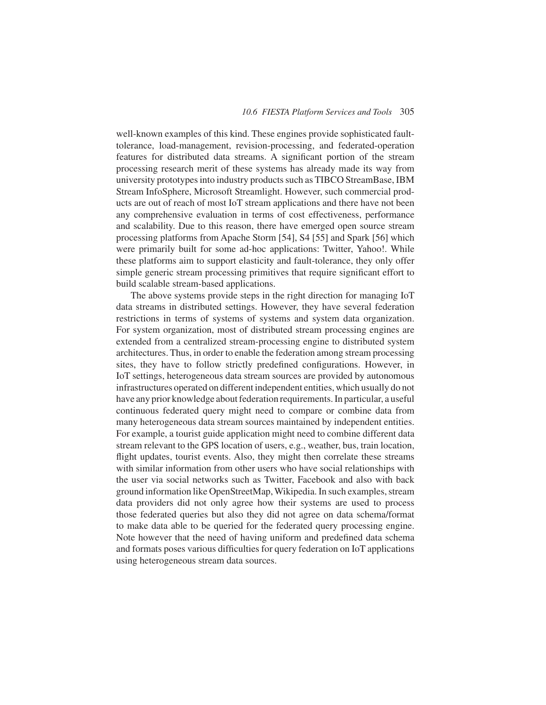well-known examples of this kind. These engines provide sophisticated faulttolerance, load-management, revision-processing, and federated-operation features for distributed data streams. A significant portion of the stream processing research merit of these systems has already made its way from university prototypes into industry products such as TIBCO StreamBase, IBM Stream InfoSphere, Microsoft Streamlight. However, such commercial products are out of reach of most IoT stream applications and there have not been any comprehensive evaluation in terms of cost effectiveness, performance and scalability. Due to this reason, there have emerged open source stream processing platforms from Apache Storm [54], S4 [55] and Spark [56] which were primarily built for some ad-hoc applications: Twitter, Yahoo!. While these platforms aim to support elasticity and fault-tolerance, they only offer simple generic stream processing primitives that require significant effort to build scalable stream-based applications.

The above systems provide steps in the right direction for managing IoT data streams in distributed settings. However, they have several federation restrictions in terms of systems of systems and system data organization. For system organization, most of distributed stream processing engines are extended from a centralized stream-processing engine to distributed system architectures. Thus, in order to enable the federation among stream processing sites, they have to follow strictly predefined configurations. However, in IoT settings, heterogeneous data stream sources are provided by autonomous infrastructures operated on different independent entities, which usually do not have any prior knowledge about federation requirements. In particular, a useful continuous federated query might need to compare or combine data from many heterogeneous data stream sources maintained by independent entities. For example, a tourist guide application might need to combine different data stream relevant to the GPS location of users, e.g., weather, bus, train location, flight updates, tourist events. Also, they might then correlate these streams with similar information from other users who have social relationships with the user via social networks such as Twitter, Facebook and also with back ground information like OpenStreetMap,Wikipedia. In such examples, stream data providers did not only agree how their systems are used to process those federated queries but also they did not agree on data schema/format to make data able to be queried for the federated query processing engine. Note however that the need of having uniform and predefined data schema and formats poses various difficulties for query federation on IoT applications using heterogeneous stream data sources.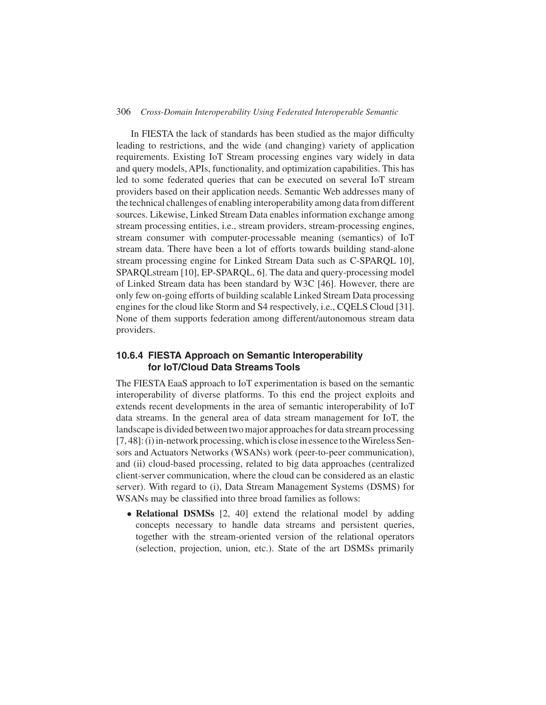In FIESTA the lack of standards has been studied as the major difficulty leading to restrictions, and the wide (and changing) variety of application requirements. Existing IoT Stream processing engines vary widely in data and query models, APIs, functionality, and optimization capabilities. This has led to some federated queries that can be executed on several IoT stream providers based on their application needs. Semantic Web addresses many of the technical challenges of enabling interoperability among data from different sources. Likewise, Linked Stream Data enables information exchange among stream processing entities, i.e., stream providers, stream-processing engines, stream consumer with computer-processable meaning (semantics) of IoT stream data. There have been a lot of efforts towards building stand-alone stream processing engine for Linked Stream Data such as C-SPARQL 10], SPARQLstream [10], EP-SPARQL, 6]. The data and query-processing model of Linked Stream data has been standard by W3C [46]. However, there are only few on-going efforts of building scalable Linked Stream Data processing engines for the cloud like Storm and S4 respectively, i.e., CQELS Cloud [31]. None of them supports federation among different/autonomous stream data providers.

## **10.6.4 FIESTA Approach on Semantic Interoperability for IoT/Cloud Data Streams Tools**

The FIESTA EaaS approach to IoT experimentation is based on the semantic interoperability of diverse platforms. To this end the project exploits and extends recent developments in the area of semantic interoperability of IoT data streams. In the general area of data stream management for IoT, the landscape is divided between two major approaches for data stream processing [7, 48]: (i) in-network processing, which is close in essence to theWireless Sensors and Actuators Networks (WSANs) work (peer-to-peer communication), and (ii) cloud-based processing, related to big data approaches (centralized client-server communication, where the cloud can be considered as an elastic server). With regard to (i), Data Stream Management Systems (DSMS) for WSANs may be classified into three broad families as follows:

• **Relational DSMSs** [2, 40] extend the relational model by adding concepts necessary to handle data streams and persistent queries, together with the stream-oriented version of the relational operators (selection, projection, union, etc.). State of the art DSMSs primarily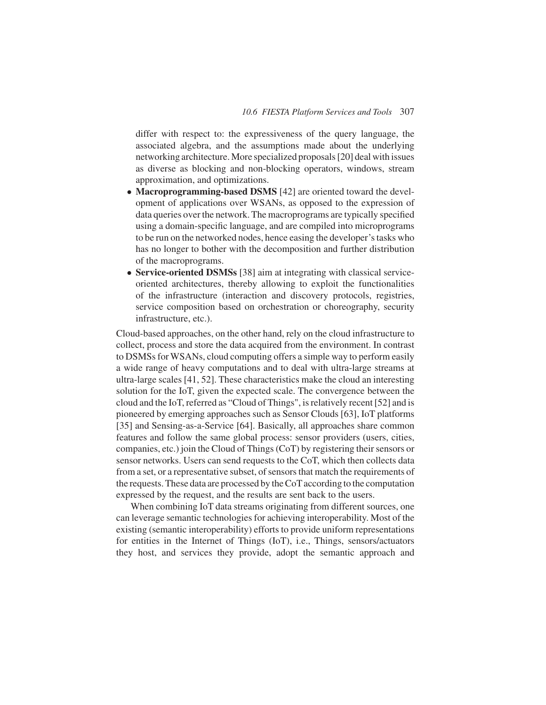differ with respect to: the expressiveness of the query language, the associated algebra, and the assumptions made about the underlying networking architecture. More specialized proposals [20] deal with issues as diverse as blocking and non-blocking operators, windows, stream approximation, and optimizations.

- **Macroprogramming-based DSMS** [42] are oriented toward the development of applications over WSANs, as opposed to the expression of data queries over the network. The macroprograms are typically specified using a domain-specific language, and are compiled into microprograms to be run on the networked nodes, hence easing the developer's tasks who has no longer to bother with the decomposition and further distribution of the macroprograms.
- **Service-oriented DSMSs** [38] aim at integrating with classical serviceoriented architectures, thereby allowing to exploit the functionalities of the infrastructure (interaction and discovery protocols, registries, service composition based on orchestration or choreography, security infrastructure, etc.).

Cloud-based approaches, on the other hand, rely on the cloud infrastructure to collect, process and store the data acquired from the environment. In contrast to DSMSs for WSANs, cloud computing offers a simple way to perform easily a wide range of heavy computations and to deal with ultra-large streams at ultra-large scales [41, 52]. These characteristics make the cloud an interesting solution for the IoT, given the expected scale. The convergence between the cloud and the IoT, referred as "Cloud of Things", is relatively recent [52] and is pioneered by emerging approaches such as Sensor Clouds [63], IoT platforms [35] and Sensing-as-a-Service [64]. Basically, all approaches share common features and follow the same global process: sensor providers (users, cities, companies, etc.) join the Cloud of Things (CoT) by registering their sensors or sensor networks. Users can send requests to the CoT, which then collects data from a set, or a representative subset, of sensors that match the requirements of the requests. These data are processed by the CoT according to the computation expressed by the request, and the results are sent back to the users.

When combining IoT data streams originating from different sources, one can leverage semantic technologies for achieving interoperability. Most of the existing (semantic interoperability) efforts to provide uniform representations for entities in the Internet of Things (IoT), i.e., Things, sensors/actuators they host, and services they provide, adopt the semantic approach and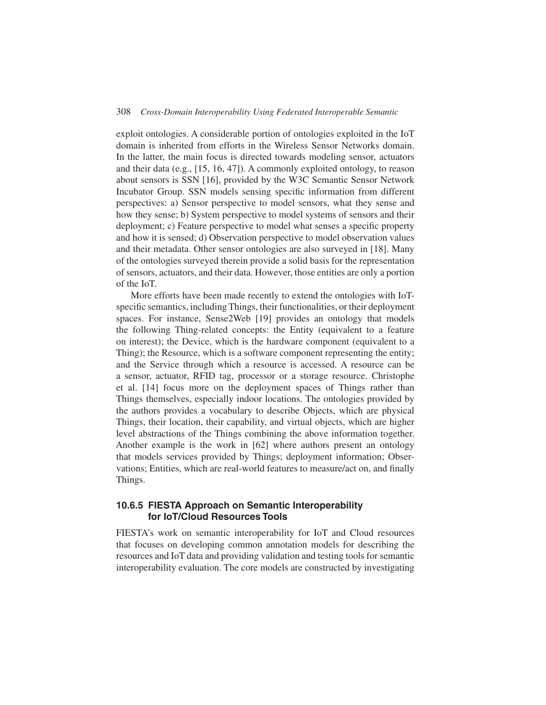exploit ontologies. A considerable portion of ontologies exploited in the IoT domain is inherited from efforts in the Wireless Sensor Networks domain. In the latter, the main focus is directed towards modeling sensor, actuators and their data (e.g., [15, 16, 47]). A commonly exploited ontology, to reason about sensors is SSN [16], provided by the W3C Semantic Sensor Network Incubator Group. SSN models sensing specific information from different perspectives: a) Sensor perspective to model sensors, what they sense and how they sense; b) System perspective to model systems of sensors and their deployment; c) Feature perspective to model what senses a specific property and how it is sensed; d) Observation perspective to model observation values and their metadata. Other sensor ontologies are also surveyed in [18]. Many of the ontologies surveyed therein provide a solid basis for the representation of sensors, actuators, and their data. However, those entities are only a portion of the IoT.

More efforts have been made recently to extend the ontologies with IoTspecific semantics, including Things, their functionalities, or their deployment spaces. For instance, Sense2Web [19] provides an ontology that models the following Thing-related concepts: the Entity (equivalent to a feature on interest); the Device, which is the hardware component (equivalent to a Thing); the Resource, which is a software component representing the entity; and the Service through which a resource is accessed. A resource can be a sensor, actuator, RFID tag, processor or a storage resource. Christophe et al. [14] focus more on the deployment spaces of Things rather than Things themselves, especially indoor locations. The ontologies provided by the authors provides a vocabulary to describe Objects, which are physical Things, their location, their capability, and virtual objects, which are higher level abstractions of the Things combining the above information together. Another example is the work in [62] where authors present an ontology that models services provided by Things; deployment information; Observations; Entities, which are real-world features to measure/act on, and finally Things.

## **10.6.5 FIESTA Approach on Semantic Interoperability for IoT/Cloud Resources Tools**

FIESTA's work on semantic interoperability for IoT and Cloud resources that focuses on developing common annotation models for describing the resources and IoT data and providing validation and testing tools for semantic interoperability evaluation. The core models are constructed by investigating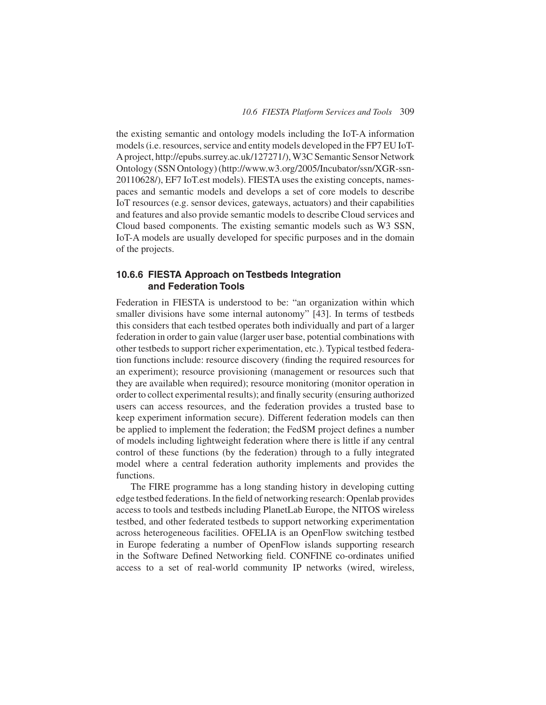the existing semantic and ontology models including the IoT-A information models (i.e. resources, service and entity models developed in the FP7 EU IoT-A project, http://epubs.surrey.ac.uk/127271/),W3C Semantic Sensor Network Ontology (SSN Ontology) (http://www.w3.org/2005/Incubator/ssn/XGR-ssn-20110628/), EF7 IoT.est models). FIESTA uses the existing concepts, namespaces and semantic models and develops a set of core models to describe IoT resources (e.g. sensor devices, gateways, actuators) and their capabilities and features and also provide semantic models to describe Cloud services and Cloud based components. The existing semantic models such as W3 SSN, IoT-A models are usually developed for specific purposes and in the domain of the projects.

## **10.6.6 FIESTA Approach on Testbeds Integration and Federation Tools**

Federation in FIESTA is understood to be: "an organization within which smaller divisions have some internal autonomy" [43]. In terms of testbeds this considers that each testbed operates both individually and part of a larger federation in order to gain value (larger user base, potential combinations with other testbeds to support richer experimentation, etc.). Typical testbed federation functions include: resource discovery (finding the required resources for an experiment); resource provisioning (management or resources such that they are available when required); resource monitoring (monitor operation in order to collect experimental results); and finally security (ensuring authorized users can access resources, and the federation provides a trusted base to keep experiment information secure). Different federation models can then be applied to implement the federation; the FedSM project defines a number of models including lightweight federation where there is little if any central control of these functions (by the federation) through to a fully integrated model where a central federation authority implements and provides the functions.

The FIRE programme has a long standing history in developing cutting edge testbed federations. In the field of networking research: Openlab provides access to tools and testbeds including PlanetLab Europe, the NITOS wireless testbed, and other federated testbeds to support networking experimentation across heterogeneous facilities. OFELIA is an OpenFlow switching testbed in Europe federating a number of OpenFlow islands supporting research in the Software Defined Networking field. CONFINE co-ordinates unified access to a set of real-world community IP networks (wired, wireless,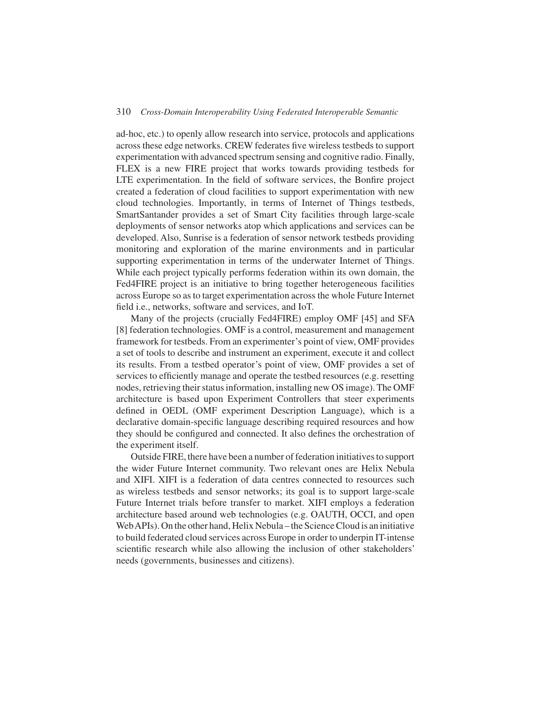ad-hoc, etc.) to openly allow research into service, protocols and applications across these edge networks. CREW federates five wireless testbeds to support experimentation with advanced spectrum sensing and cognitive radio. Finally, FLEX is a new FIRE project that works towards providing testbeds for LTE experimentation. In the field of software services, the Bonfire project created a federation of cloud facilities to support experimentation with new cloud technologies. Importantly, in terms of Internet of Things testbeds, SmartSantander provides a set of Smart City facilities through large-scale deployments of sensor networks atop which applications and services can be developed. Also, Sunrise is a federation of sensor network testbeds providing monitoring and exploration of the marine environments and in particular supporting experimentation in terms of the underwater Internet of Things. While each project typically performs federation within its own domain, the Fed4FIRE project is an initiative to bring together heterogeneous facilities across Europe so as to target experimentation across the whole Future Internet field i.e., networks, software and services, and IoT.

Many of the projects (crucially Fed4FIRE) employ OMF [45] and SFA [8] federation technologies. OMF is a control, measurement and management framework for testbeds. From an experimenter's point of view, OMF provides a set of tools to describe and instrument an experiment, execute it and collect its results. From a testbed operator's point of view, OMF provides a set of services to efficiently manage and operate the testbed resources (e.g. resetting nodes, retrieving their status information, installing new OS image). The OMF architecture is based upon Experiment Controllers that steer experiments defined in OEDL (OMF experiment Description Language), which is a declarative domain-specific language describing required resources and how they should be configured and connected. It also defines the orchestration of the experiment itself.

Outside FIRE, there have been a number of federation initiatives to support the wider Future Internet community. Two relevant ones are Helix Nebula and XIFI. XIFI is a federation of data centres connected to resources such as wireless testbeds and sensor networks; its goal is to support large-scale Future Internet trials before transfer to market. XIFI employs a federation architecture based around web technologies (e.g. OAUTH, OCCI, and open WebAPIs). On the other hand, Helix Nebula – the Science Cloud is an initiative to build federated cloud services across Europe in order to underpin IT-intense scientific research while also allowing the inclusion of other stakeholders' needs (governments, businesses and citizens).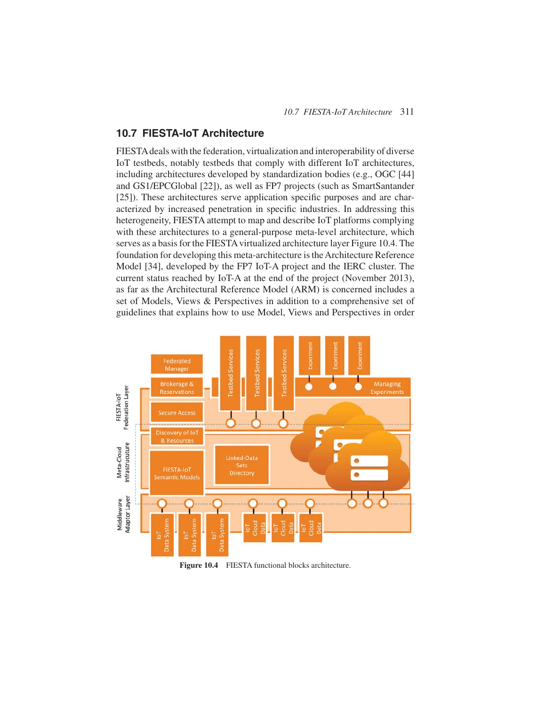## **10.7 FIESTA-IoT Architecture**

FIESTAdeals with the federation, virtualization and interoperability of diverse IoT testbeds, notably testbeds that comply with different IoT architectures, including architectures developed by standardization bodies (e.g., OGC [44] and GS1/EPCGlobal [22]), as well as FP7 projects (such as SmartSantander [25]). These architectures serve application specific purposes and are characterized by increased penetration in specific industries. In addressing this heterogeneity, FIESTA attempt to map and describe IoT platforms complying with these architectures to a general-purpose meta-level architecture, which serves as a basis for the FIESTA virtualized architecture layer Figure 10.4. The foundation for developing this meta-architecture is the Architecture Reference Model [34], developed by the FP7 IoT-A project and the IERC cluster. The current status reached by IoT-A at the end of the project (November 2013), as far as the Architectural Reference Model (ARM) is concerned includes a set of Models, Views & Perspectives in addition to a comprehensive set of guidelines that explains how to use Model, Views and Perspectives in order



Figure 10.4 FIESTA functional blocks architecture.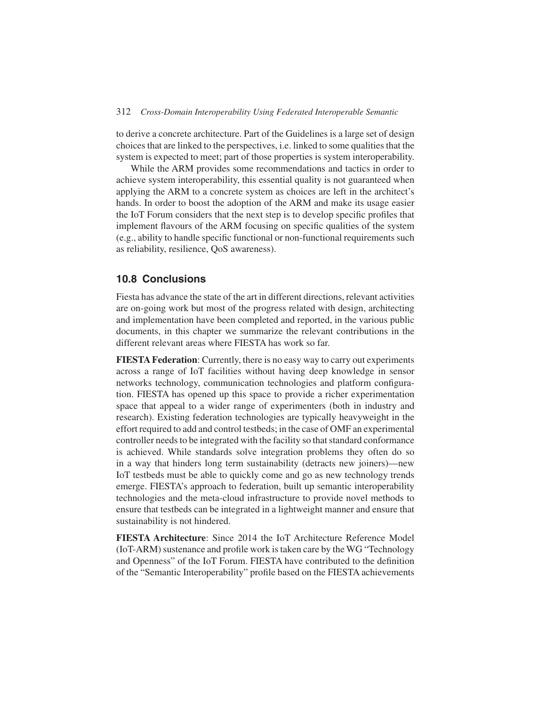to derive a concrete architecture. Part of the Guidelines is a large set of design choices that are linked to the perspectives, i.e. linked to some qualities that the system is expected to meet; part of those properties is system interoperability.

While the ARM provides some recommendations and tactics in order to achieve system interoperability, this essential quality is not guaranteed when applying the ARM to a concrete system as choices are left in the architect's hands. In order to boost the adoption of the ARM and make its usage easier the IoT Forum considers that the next step is to develop specific profiles that implement flavours of the ARM focusing on specific qualities of the system (e.g., ability to handle specific functional or non-functional requirements such as reliability, resilience, QoS awareness).

## **10.8 Conclusions**

Fiesta has advance the state of the art in different directions, relevant activities are on-going work but most of the progress related with design, architecting and implementation have been completed and reported, in the various public documents, in this chapter we summarize the relevant contributions in the different relevant areas where FIESTA has work so far.

**FIESTA Federation**: Currently, there is no easy way to carry out experiments across a range of IoT facilities without having deep knowledge in sensor networks technology, communication technologies and platform configuration. FIESTA has opened up this space to provide a richer experimentation space that appeal to a wider range of experimenters (both in industry and research). Existing federation technologies are typically heavyweight in the effort required to add and control testbeds; in the case of OMF an experimental controller needs to be integrated with the facility so that standard conformance is achieved. While standards solve integration problems they often do so in a way that hinders long term sustainability (detracts new joiners)—new IoT testbeds must be able to quickly come and go as new technology trends emerge. FIESTA's approach to federation, built up semantic interoperability technologies and the meta-cloud infrastructure to provide novel methods to ensure that testbeds can be integrated in a lightweight manner and ensure that sustainability is not hindered.

**FIESTA Architecture**: Since 2014 the IoT Architecture Reference Model (IoT-ARM) sustenance and profile work is taken care by the WG "Technology and Openness" of the IoT Forum. FIESTA have contributed to the definition of the "Semantic Interoperability" profile based on the FIESTA achievements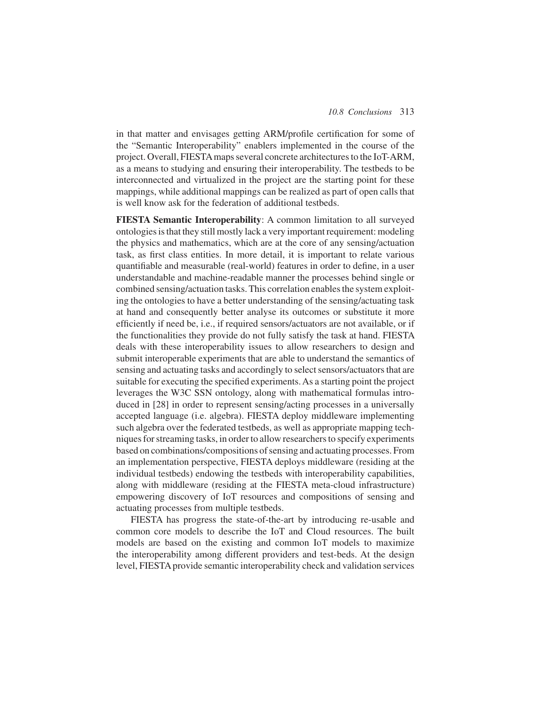in that matter and envisages getting ARM/profile certification for some of the "Semantic Interoperability" enablers implemented in the course of the project. Overall, FIESTAmaps several concrete architectures to the IoT-ARM, as a means to studying and ensuring their interoperability. The testbeds to be interconnected and virtualized in the project are the starting point for these mappings, while additional mappings can be realized as part of open calls that is well know ask for the federation of additional testbeds.

**FIESTA Semantic Interoperability**: A common limitation to all surveyed ontologies is that they still mostly lack a very important requirement: modeling the physics and mathematics, which are at the core of any sensing/actuation task, as first class entities. In more detail, it is important to relate various quantifiable and measurable (real-world) features in order to define, in a user understandable and machine-readable manner the processes behind single or combined sensing/actuation tasks. This correlation enables the system exploiting the ontologies to have a better understanding of the sensing/actuating task at hand and consequently better analyse its outcomes or substitute it more efficiently if need be, i.e., if required sensors/actuators are not available, or if the functionalities they provide do not fully satisfy the task at hand. FIESTA deals with these interoperability issues to allow researchers to design and submit interoperable experiments that are able to understand the semantics of sensing and actuating tasks and accordingly to select sensors/actuators that are suitable for executing the specified experiments. As a starting point the project leverages the W3C SSN ontology, along with mathematical formulas introduced in [28] in order to represent sensing/acting processes in a universally accepted language (i.e. algebra). FIESTA deploy middleware implementing such algebra over the federated testbeds, as well as appropriate mapping techniques for streaming tasks, in order to allow researchers to specify experiments based on combinations/compositions of sensing and actuating processes. From an implementation perspective, FIESTA deploys middleware (residing at the individual testbeds) endowing the testbeds with interoperability capabilities, along with middleware (residing at the FIESTA meta-cloud infrastructure) empowering discovery of IoT resources and compositions of sensing and actuating processes from multiple testbeds.

FIESTA has progress the state-of-the-art by introducing re-usable and common core models to describe the IoT and Cloud resources. The built models are based on the existing and common IoT models to maximize the interoperability among different providers and test-beds. At the design level, FIESTA provide semantic interoperability check and validation services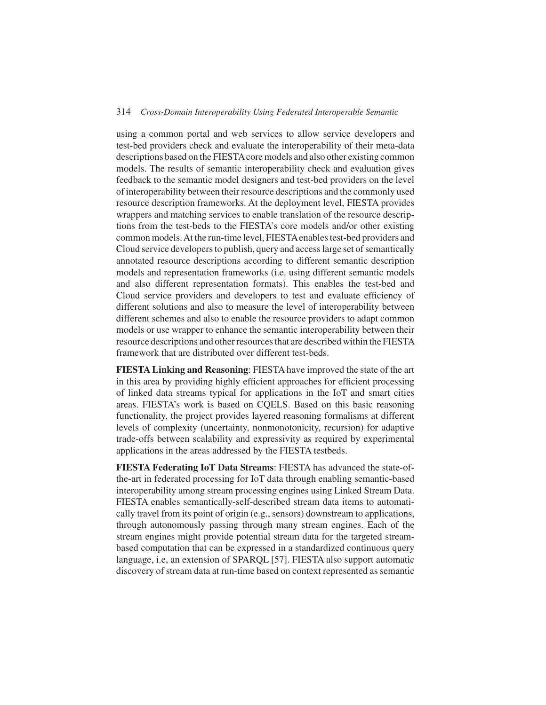using a common portal and web services to allow service developers and test-bed providers check and evaluate the interoperability of their meta-data descriptions based on the FIESTAcore models and also other existing common models. The results of semantic interoperability check and evaluation gives feedback to the semantic model designers and test-bed providers on the level of interoperability between their resource descriptions and the commonly used resource description frameworks. At the deployment level, FIESTA provides wrappers and matching services to enable translation of the resource descriptions from the test-beds to the FIESTA's core models and/or other existing common models.At the run-time level, FIESTAenables test-bed providers and Cloud service developers to publish, query and access large set of semantically annotated resource descriptions according to different semantic description models and representation frameworks (i.e. using different semantic models and also different representation formats). This enables the test-bed and Cloud service providers and developers to test and evaluate efficiency of different solutions and also to measure the level of interoperability between different schemes and also to enable the resource providers to adapt common models or use wrapper to enhance the semantic interoperability between their resource descriptions and other resources that are described within the FIESTA framework that are distributed over different test-beds.

**FIESTA Linking and Reasoning**: FIESTA have improved the state of the art in this area by providing highly efficient approaches for efficient processing of linked data streams typical for applications in the IoT and smart cities areas. FIESTA's work is based on CQELS. Based on this basic reasoning functionality, the project provides layered reasoning formalisms at different levels of complexity (uncertainty, nonmonotonicity, recursion) for adaptive trade-offs between scalability and expressivity as required by experimental applications in the areas addressed by the FIESTA testbeds.

**FIESTA Federating IoT Data Streams**: FIESTA has advanced the state-ofthe-art in federated processing for IoT data through enabling semantic-based interoperability among stream processing engines using Linked Stream Data. FIESTA enables semantically-self-described stream data items to automatically travel from its point of origin (e.g., sensors) downstream to applications, through autonomously passing through many stream engines. Each of the stream engines might provide potential stream data for the targeted streambased computation that can be expressed in a standardized continuous query language, i.e, an extension of SPARQL [57]. FIESTA also support automatic discovery of stream data at run-time based on context represented as semantic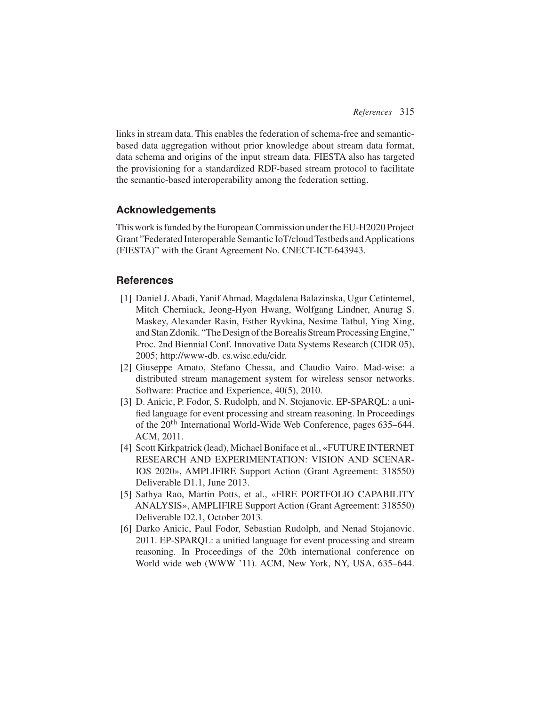links in stream data. This enables the federation of schema-free and semanticbased data aggregation without prior knowledge about stream data format, data schema and origins of the input stream data. FIESTA also has targeted the provisioning for a standardized RDF-based stream protocol to facilitate the semantic-based interoperability among the federation setting.

## **Acknowledgements**

This work is funded by the European Commission under the EU-H2020 Project Grant "Federated Interoperable Semantic IoT/cloud Testbeds andApplications (FIESTA)" with the Grant Agreement No. CNECT-ICT-643943.

## **References**

- [1] Daniel J. Abadi, Yanif Ahmad, Magdalena Balazinska, Ugur Cetintemel, Mitch Cherniack, Jeong-Hyon Hwang, Wolfgang Lindner, Anurag S. Maskey, Alexander Rasin, Esther Ryvkina, Nesime Tatbul, Ying Xing, and Stan Zdonik. "The Design of the Borealis Stream Processing Engine," Proc. 2nd Biennial Conf. Innovative Data Systems Research (CIDR 05), 2005; http://www-db. cs.wisc.edu/cidr.
- [2] Giuseppe Amato, Stefano Chessa, and Claudio Vairo. Mad-wise: a distributed stream management system for wireless sensor networks. Software: Practice and Experience, 40(5), 2010.
- [3] D. Anicic, P. Fodor, S. Rudolph, and N. Stojanovic. EP-SPARQL: a unified language for event processing and stream reasoning. In Proceedings of the 20th International World-Wide Web Conference, pages 635–644. ACM, 2011.
- [4] Scott Kirkpatrick (lead), Michael Boniface et al., «FUTURE INTERNET RESEARCH AND EXPERIMENTATION: VISION AND SCENAR-IOS 2020», AMPLIFIRE Support Action (Grant Agreement: 318550) Deliverable D1.1, June 2013.
- [5] Sathya Rao, Martin Potts, et al., «FIRE PORTFOLIO CAPABILITY ANALYSIS», AMPLIFIRE Support Action (Grant Agreement: 318550) Deliverable D2.1, October 2013.
- [6] Darko Anicic, Paul Fodor, Sebastian Rudolph, and Nenad Stojanovic. 2011. EP-SPARQL: a unified language for event processing and stream reasoning. In Proceedings of the 20th international conference on World wide web (WWW '11). ACM, New York, NY, USA, 635–644.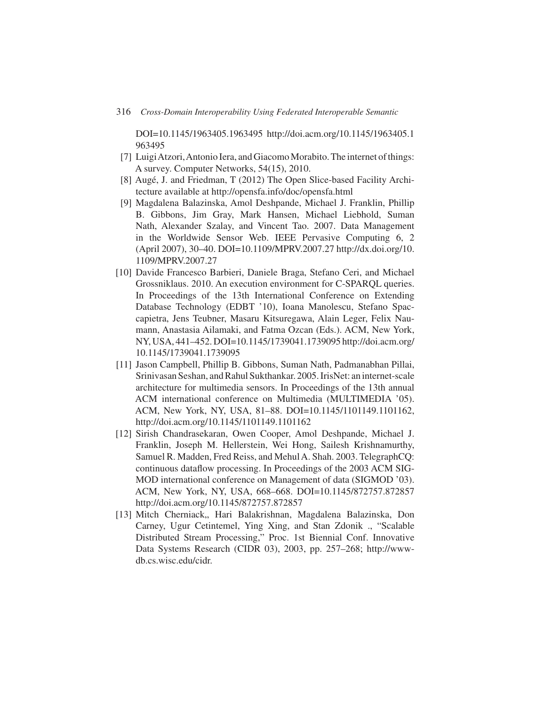DOI=10.1145/1963405.1963495 http://doi.acm.org/10.1145/1963405.1 963495

- [7] LuigiAtzori,Antonio Iera, and Giacomo Morabito. The internet of things: A survey. Computer Networks, 54(15), 2010.
- [8] Augé, J. and Friedman, T (2012) The Open Slice-based Facility Architecture available at http://opensfa.info/doc/opensfa.html
- [9] Magdalena Balazinska, Amol Deshpande, Michael J. Franklin, Phillip B. Gibbons, Jim Gray, Mark Hansen, Michael Liebhold, Suman Nath, Alexander Szalay, and Vincent Tao. 2007. Data Management in the Worldwide Sensor Web. IEEE Pervasive Computing 6, 2 (April 2007), 30–40. DOI=10.1109/MPRV.2007.27 http://dx.doi.org/10. 1109/MPRV.2007.27
- [10] Davide Francesco Barbieri, Daniele Braga, Stefano Ceri, and Michael Grossniklaus. 2010. An execution environment for C-SPARQL queries. In Proceedings of the 13th International Conference on Extending Database Technology (EDBT '10), Ioana Manolescu, Stefano Spaccapietra, Jens Teubner, Masaru Kitsuregawa, Alain Leger, Felix Naumann, Anastasia Ailamaki, and Fatma Ozcan (Eds.). ACM, New York, NY, USA, 441–452. DOI=10.1145/1739041.1739095 http://doi.acm.org/ 10.1145/1739041.1739095
- [11] Jason Campbell, Phillip B. Gibbons, Suman Nath, Padmanabhan Pillai, Srinivasan Seshan, and Rahul Sukthankar. 2005. IrisNet: an internet-scale architecture for multimedia sensors. In Proceedings of the 13th annual ACM international conference on Multimedia (MULTIMEDIA '05). ACM, New York, NY, USA, 81–88. DOI=10.1145/1101149.1101162, http://doi.acm.org/10.1145/1101149.1101162
- [12] Sirish Chandrasekaran, Owen Cooper, Amol Deshpande, Michael J. Franklin, Joseph M. Hellerstein, Wei Hong, Sailesh Krishnamurthy, Samuel R. Madden, Fred Reiss, and Mehul A. Shah. 2003. TelegraphCQ: continuous dataflow processing. In Proceedings of the 2003 ACM SIG-MOD international conference on Management of data (SIGMOD '03). ACM, New York, NY, USA, 668–668. DOI=10.1145/872757.872857 http://doi.acm.org/10.1145/872757.872857
- [13] Mitch Cherniack,, Hari Balakrishnan, Magdalena Balazinska, Don Carney, Ugur Cetintemel, Ying Xing, and Stan Zdonik ., "Scalable Distributed Stream Processing," Proc. 1st Biennial Conf. Innovative Data Systems Research (CIDR 03), 2003, pp. 257–268; http://wwwdb.cs.wisc.edu/cidr.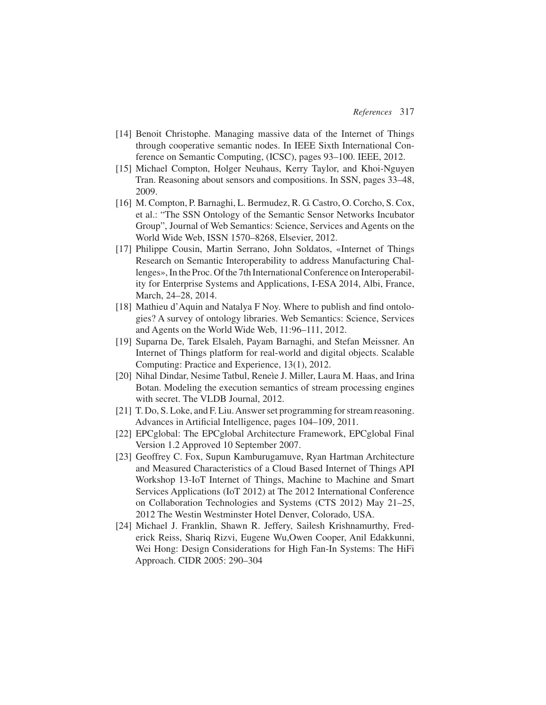- [14] Benoit Christophe. Managing massive data of the Internet of Things through cooperative semantic nodes. In IEEE Sixth International Conference on Semantic Computing, (ICSC), pages 93–100. IEEE, 2012.
- [15] Michael Compton, Holger Neuhaus, Kerry Taylor, and Khoi-Nguyen Tran. Reasoning about sensors and compositions. In SSN, pages 33–48, 2009.
- [16] M. Compton, P. Barnaghi, L. Bermudez, R. G. Castro, O. Corcho, S. Cox, et al.: "The SSN Ontology of the Semantic Sensor Networks Incubator Group", Journal of Web Semantics: Science, Services and Agents on the World Wide Web, ISSN 1570–8268, Elsevier, 2012.
- [17] Philippe Cousin, Martin Serrano, John Soldatos, «Internet of Things Research on Semantic Interoperability to address Manufacturing Challenges», In the Proc. Of the 7th International Conference on Interoperability for Enterprise Systems and Applications, I-ESA 2014, Albi, France, March, 24–28, 2014.
- [18] Mathieu d'Aquin and Natalya F Noy. Where to publish and find ontologies? A survey of ontology libraries. Web Semantics: Science, Services and Agents on the World Wide Web, 11:96–111, 2012.
- [19] Suparna De, Tarek Elsaleh, Payam Barnaghi, and Stefan Meissner. An Internet of Things platform for real-world and digital objects. Scalable Computing: Practice and Experience, 13(1), 2012.
- [20] Nihal Dindar, Nesime Tatbul, Reneìe J. Miller, Laura M. Haas, and Irina Botan. Modeling the execution semantics of stream processing engines with secret. The VLDB Journal, 2012.
- [21] T. Do, S. Loke, and F. Liu. Answer set programming for stream reasoning. Advances in Artificial Intelligence, pages 104–109, 2011.
- [22] EPCglobal: The EPCglobal Architecture Framework, EPCglobal Final Version 1.2 Approved 10 September 2007.
- [23] Geoffrey C. Fox, Supun Kamburugamuve, Ryan Hartman Architecture and Measured Characteristics of a Cloud Based Internet of Things API Workshop 13-IoT Internet of Things, Machine to Machine and Smart Services Applications (IoT 2012) at The 2012 International Conference on Collaboration Technologies and Systems (CTS 2012) May 21–25, 2012 The Westin Westminster Hotel Denver, Colorado, USA.
- [24] Michael J. Franklin, Shawn R. Jeffery, Sailesh Krishnamurthy, Frederick Reiss, Shariq Rizvi, Eugene Wu,Owen Cooper, Anil Edakkunni, Wei Hong: Design Considerations for High Fan-In Systems: The HiFi Approach. CIDR 2005: 290–304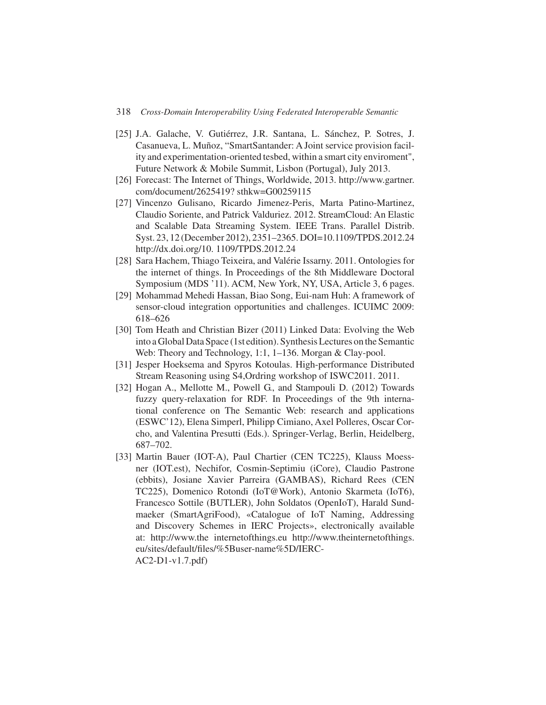- [25] J.A. Galache, V. Gutiérrez, J.R. Santana, L. Sánchez, P. Sotres, J. Casanueva, L. Muñoz, "SmartSantander: A Joint service provision facility and experimentation-oriented tesbed, within a smart city enviroment", Future Network & Mobile Summit, Lisbon (Portugal), July 2013.
- [26] Forecast: The Internet of Things, Worldwide, 2013. http://www.gartner. com/document/2625419? sthkw=G00259115
- [27] Vincenzo Gulisano, Ricardo Jimenez-Peris, Marta Patino-Martinez, Claudio Soriente, and Patrick Valduriez. 2012. StreamCloud: An Elastic and Scalable Data Streaming System. IEEE Trans. Parallel Distrib. Syst. 23, 12 (December 2012), 2351–2365. DOI=10.1109/TPDS.2012.24 http://dx.doi.org/10. 1109/TPDS.2012.24
- [28] Sara Hachem, Thiago Teixeira, and Valérie Issarny. 2011. Ontologies for the internet of things. In Proceedings of the 8th Middleware Doctoral Symposium (MDS '11). ACM, New York, NY, USA, Article 3, 6 pages.
- [29] Mohammad Mehedi Hassan, Biao Song, Eui-nam Huh: A framework of sensor-cloud integration opportunities and challenges. ICUIMC 2009: 618–626
- [30] Tom Heath and Christian Bizer (2011) Linked Data: Evolving the Web into a Global Data Space (1st edition). Synthesis Lectures on the Semantic Web: Theory and Technology, 1:1, 1–136. Morgan & Clay-pool.
- [31] Jesper Hoeksema and Spyros Kotoulas. High-performance Distributed Stream Reasoning using S4,Ordring workshop of ISWC2011. 2011.
- [32] Hogan A., Mellotte M., Powell G., and Stampouli D. (2012) Towards fuzzy query-relaxation for RDF. In Proceedings of the 9th international conference on The Semantic Web: research and applications (ESWC'12), Elena Simperl, Philipp Cimiano, Axel Polleres, Oscar Corcho, and Valentina Presutti (Eds.). Springer-Verlag, Berlin, Heidelberg, 687–702.
- [33] Martin Bauer (IOT-A), Paul Chartier (CEN TC225), Klauss Moessner (IOT.est), Nechifor, Cosmin-Septimiu (iCore), Claudio Pastrone (ebbits), Josiane Xavier Parreira (GAMBAS), Richard Rees (CEN TC225), Domenico Rotondi (IoT@Work), Antonio Skarmeta (IoT6), Francesco Sottile (BUTLER), John Soldatos (OpenIoT), Harald Sundmaeker (SmartAgriFood), «Catalogue of IoT Naming, Addressing and Discovery Schemes in IERC Projects», electronically available at: http://www.the internetofthings.eu http://www.theinternetofthings. eu/sites/default/files/%5Buser-name%5D/IERC-AC2-D1-v1.7.pdf)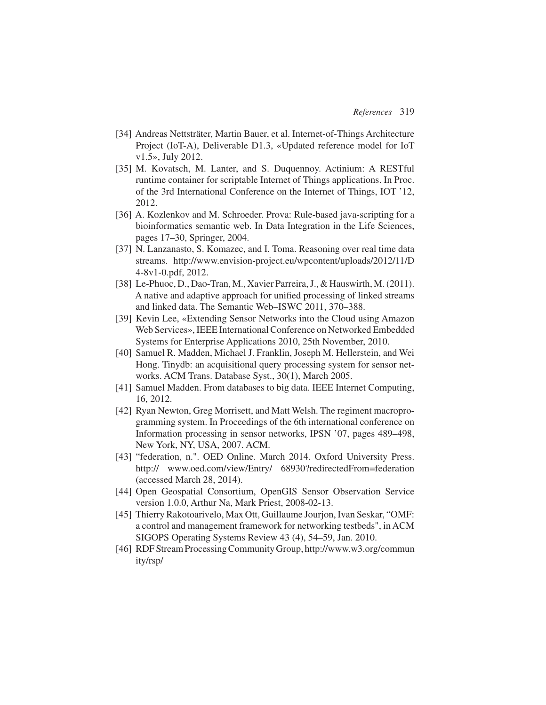- [34] Andreas Nettsträter, Martin Bauer, et al. Internet-of-Things Architecture Project (IoT-A), Deliverable D1.3, «Updated reference model for IoT v1.5», July 2012.
- [35] M. Kovatsch, M. Lanter, and S. Duquennoy. Actinium: A RESTful runtime container for scriptable Internet of Things applications. In Proc. of the 3rd International Conference on the Internet of Things, IOT '12, 2012.
- [36] A. Kozlenkov and M. Schroeder. Prova: Rule-based java-scripting for a bioinformatics semantic web. In Data Integration in the Life Sciences, pages 17–30, Springer, 2004.
- [37] N. Lanzanasto, S. Komazec, and I. Toma. Reasoning over real time data streams. http://www.envision-project.eu/wpcontent/uploads/2012/11/D 4-8v1-0.pdf, 2012.
- [38] Le-Phuoc, D., Dao-Tran, M., Xavier Parreira, J., & Hauswirth, M. (2011). A native and adaptive approach for unified processing of linked streams and linked data. The Semantic Web–ISWC 2011, 370–388.
- [39] Kevin Lee, «Extending Sensor Networks into the Cloud using Amazon Web Services», IEEE International Conference on Networked Embedded Systems for Enterprise Applications 2010, 25th November, 2010.
- [40] Samuel R. Madden, Michael J. Franklin, Joseph M. Hellerstein, and Wei Hong. Tinydb: an acquisitional query processing system for sensor networks. ACM Trans. Database Syst., 30(1), March 2005.
- [41] Samuel Madden. From databases to big data. IEEE Internet Computing, 16, 2012.
- [42] Ryan Newton, Greg Morrisett, and Matt Welsh. The regiment macroprogramming system. In Proceedings of the 6th international conference on Information processing in sensor networks, IPSN '07, pages 489–498, New York, NY, USA, 2007. ACM.
- [43] "federation, n.". OED Online. March 2014. Oxford University Press. http:// www.oed.com/view/Entry/ 68930?redirectedFrom=federation (accessed March 28, 2014).
- [44] Open Geospatial Consortium, OpenGIS Sensor Observation Service version 1.0.0, Arthur Na, Mark Priest, 2008-02-13.
- [45] Thierry Rakotoarivelo, Max Ott, Guillaume Jourjon, Ivan Seskar, "OMF: a control and management framework for networking testbeds", in ACM SIGOPS Operating Systems Review 43 (4), 54–59, Jan. 2010.
- [46] RDF Stream Processing Community Group, http://www.w3.org/commun ity/rsp/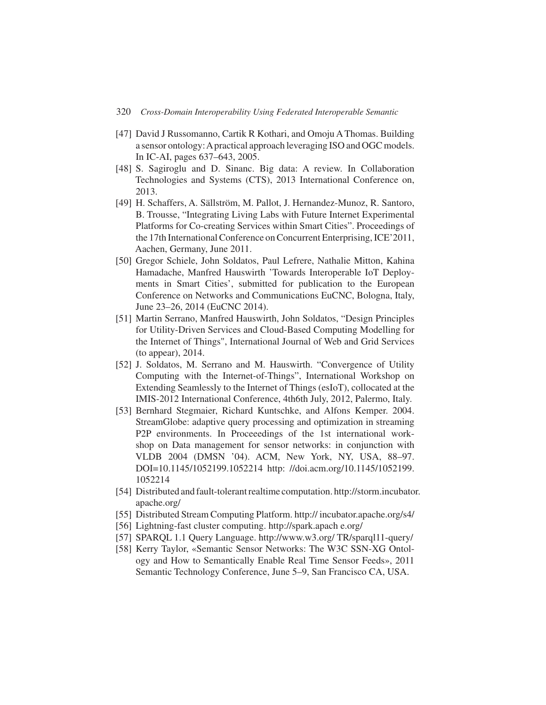- [47] David J Russomanno, Cartik R Kothari, and Omoju A Thomas. Building a sensor ontology:A practical approach leveraging ISO and OGC models. In IC-AI, pages 637–643, 2005.
- [48] S. Sagiroglu and D. Sinanc. Big data: A review. In Collaboration Technologies and Systems (CTS), 2013 International Conference on, 2013.
- [49] H. Schaffers, A. Sällström, M. Pallot, J. Hernandez-Munoz, R. Santoro, B. Trousse, "Integrating Living Labs with Future Internet Experimental Platforms for Co-creating Services within Smart Cities". Proceedings of the 17th International Conference on Concurrent Enterprising, ICE'2011, Aachen, Germany, June 2011.
- [50] Gregor Schiele, John Soldatos, Paul Lefrere, Nathalie Mitton, Kahina Hamadache, Manfred Hauswirth 'Towards Interoperable IoT Deployments in Smart Cities', submitted for publication to the European Conference on Networks and Communications EuCNC, Bologna, Italy, June 23–26, 2014 (EuCNC 2014).
- [51] Martin Serrano, Manfred Hauswirth, John Soldatos, "Design Principles for Utility-Driven Services and Cloud-Based Computing Modelling for the Internet of Things", International Journal of Web and Grid Services (to appear), 2014.
- [52] J. Soldatos, M. Serrano and M. Hauswirth. "Convergence of Utility Computing with the Internet-of-Things", International Workshop on Extending Seamlessly to the Internet of Things (esIoT), collocated at the IMIS-2012 International Conference, 4th6th July, 2012, Palermo, Italy.
- [53] Bernhard Stegmaier, Richard Kuntschke, and Alfons Kemper. 2004. StreamGlobe: adaptive query processing and optimization in streaming P2P environments. In Proceeedings of the 1st international workshop on Data management for sensor networks: in conjunction with VLDB 2004 (DMSN '04). ACM, New York, NY, USA, 88–97. DOI=10.1145/1052199.1052214 http: //doi.acm.org/10.1145/1052199. 1052214
- [54] Distributed and fault-tolerant realtime computation. http://storm.incubator. apache.org/
- [55] Distributed Stream Computing Platform. http:// incubator.apache.org/s4/
- [56] Lightning-fast cluster computing. http://spark.apach e.org/
- [57] SPARQL 1.1 Query Language. http://www.w3.org/ TR/sparql11-query/
- [58] Kerry Taylor, «Semantic Sensor Networks: The W3C SSN-XG Ontology and How to Semantically Enable Real Time Sensor Feeds», 2011 Semantic Technology Conference, June 5–9, San Francisco CA, USA.